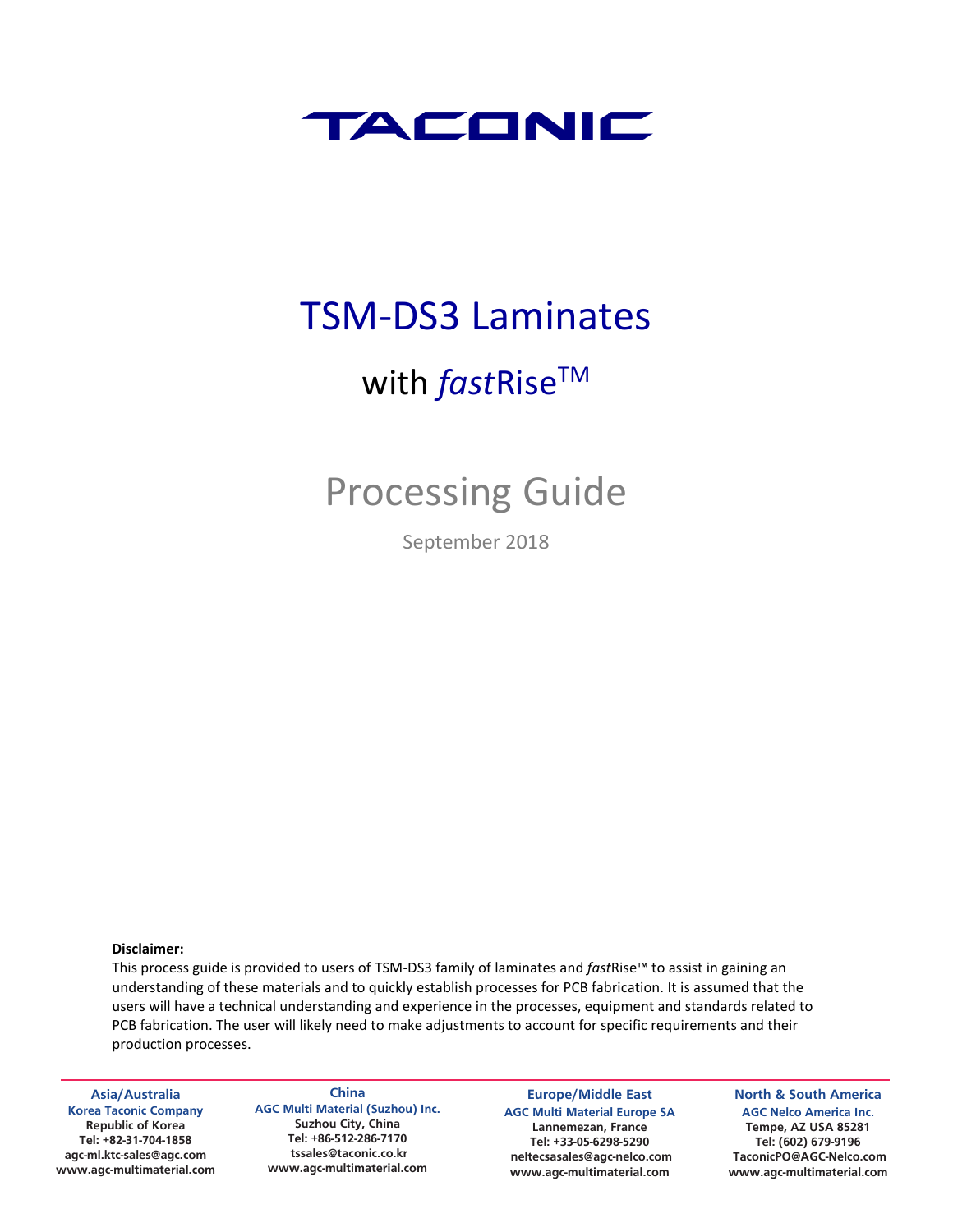

# TSM-DS3 Laminates

# with *fastRise*™

# Processing Guide

September 2018

#### **Disclaimer:**

This process guide is provided to users of TSM-DS3 family of laminates and *fast*Rise™ to assist in gaining an understanding of these materials and to quickly establish processes for PCB fabrication. It is assumed that the users will have a technical understanding and experience in the processes, equipment and standards related to PCB fabrication. The user will likely need to make adjustments to account for specific requirements and their production processes.

**Asia/Australia Korea Taconic Company Republic of Korea Tel: +82-31-704-1858 agc-ml.ktc-sales@agc.com www.agc-multimaterial.com**

**China AGC Multi Material (Suzhou) Inc. Suzhou City, China Tel: +86-512-286-7170 tssales@taconic.co.kr www.agc-multimaterial.com**

**Europe/Middle East AGC Multi Material Europe SA Lannemezan, France Tel: +33-05-6298-5290 neltecsasales@agc-nelco.com www.agc-multimaterial.com**

**North & South America AGC Nelco America Inc. Tempe, AZ USA 85281 Tel: (602) 679-9196 TaconicPO@AGC-Nelco.com www.agc-multimaterial.com**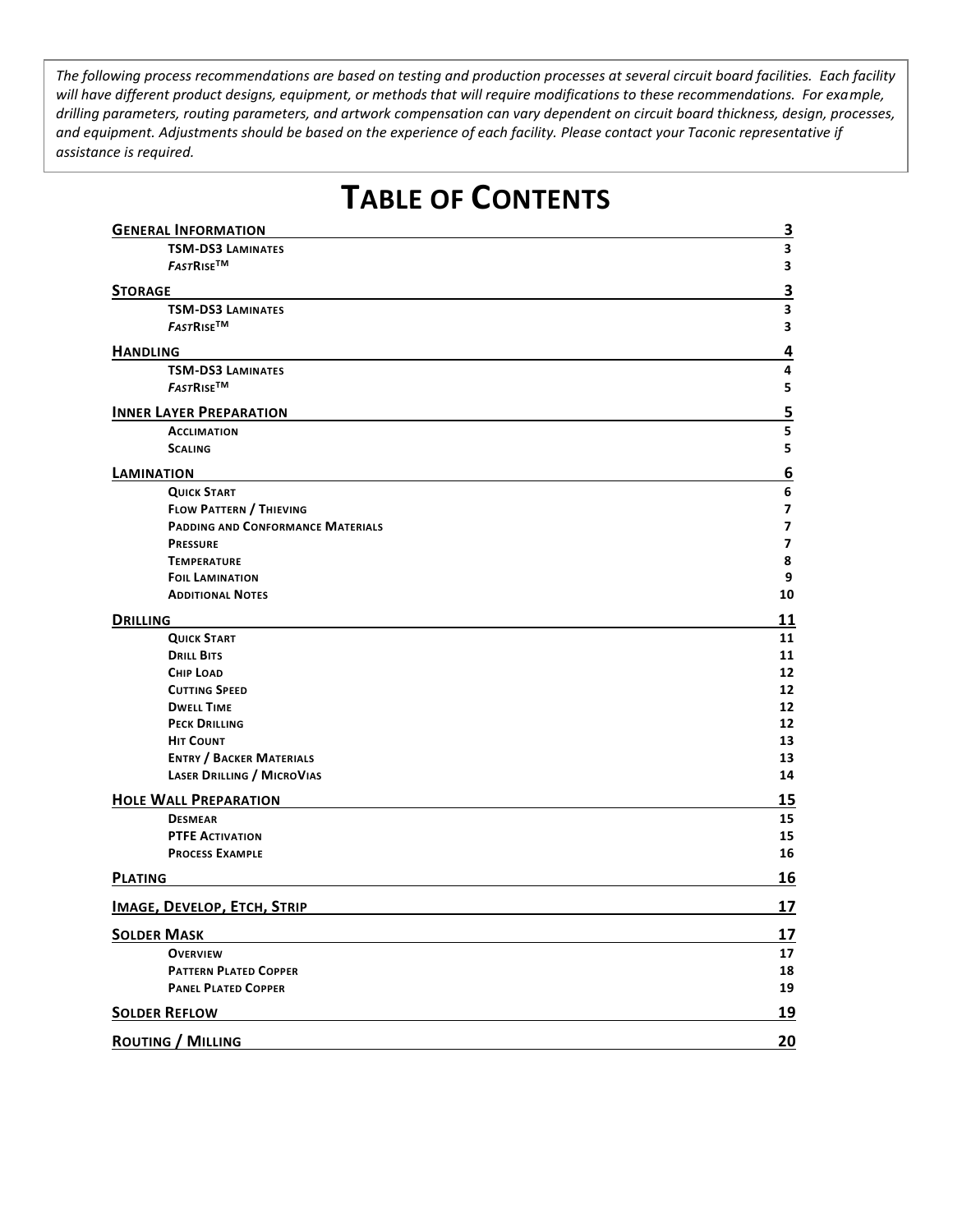*The following process recommendations are based on testing and production processes at several circuit board facilities. Each facility will have different product designs, equipment, or methods that will require modifications to these recommendations. For example, drilling parameters, routing parameters, and artwork compensation can vary dependent on circuit board thickness, design, processes, and equipment. Adjustments should be based on the experience of each facility. Please contact your Taconic representative if assistance is required.*

#### **GENERAL INFORMATION 3 TSM-DS3 LAMINATES 3** *FAST***RISETM 3 STORAGE 3 TSM-DS3 LAMINATES 3** *FAST***RISETM 3 HANDLING 4 TSM-DS3 LAMINATES 4** *FAST***RISETM 5 INNER LAYER PREPARATION 5 ACCLIMATION 5 SCALING 5 LAMINATION 6 QUICK START 6 FLOW PATTERN / THIEVING 7 PADDING AND CONFORMANCE MATERIALS 7 PRESSURE 7 TEMPERATURE 8 FOIL LAMINATION 9 ADDITIONAL NOTES 10 DRILLING 11 QUICK START 11 DRILL BITS 11 CHIP LOAD 12 CUTTING SPEED 12 DWELL TIME 12 PECK DRILLING 12 HIT COUNT 13 ENTRY / BACKER MATERIALS 13 LASER DRILLING / MICROVIAS 14 HOLE WALL PREPARATION 15 DESMEAR 15 PTFE ACTIVATION 15 PROCESS EXAMPLE 16 PLATING 16 IMAGE, DEVELOP, ETCH, STRIP 17 SOLDER MASK 17 OVERVIEW 17 PATTERN PLATED COPPER 18 PANEL PLATED COPPER 19 SOLDER REFLOW 19 ROUTING / MILLING 20**

# **TABLE OF CONTENTS**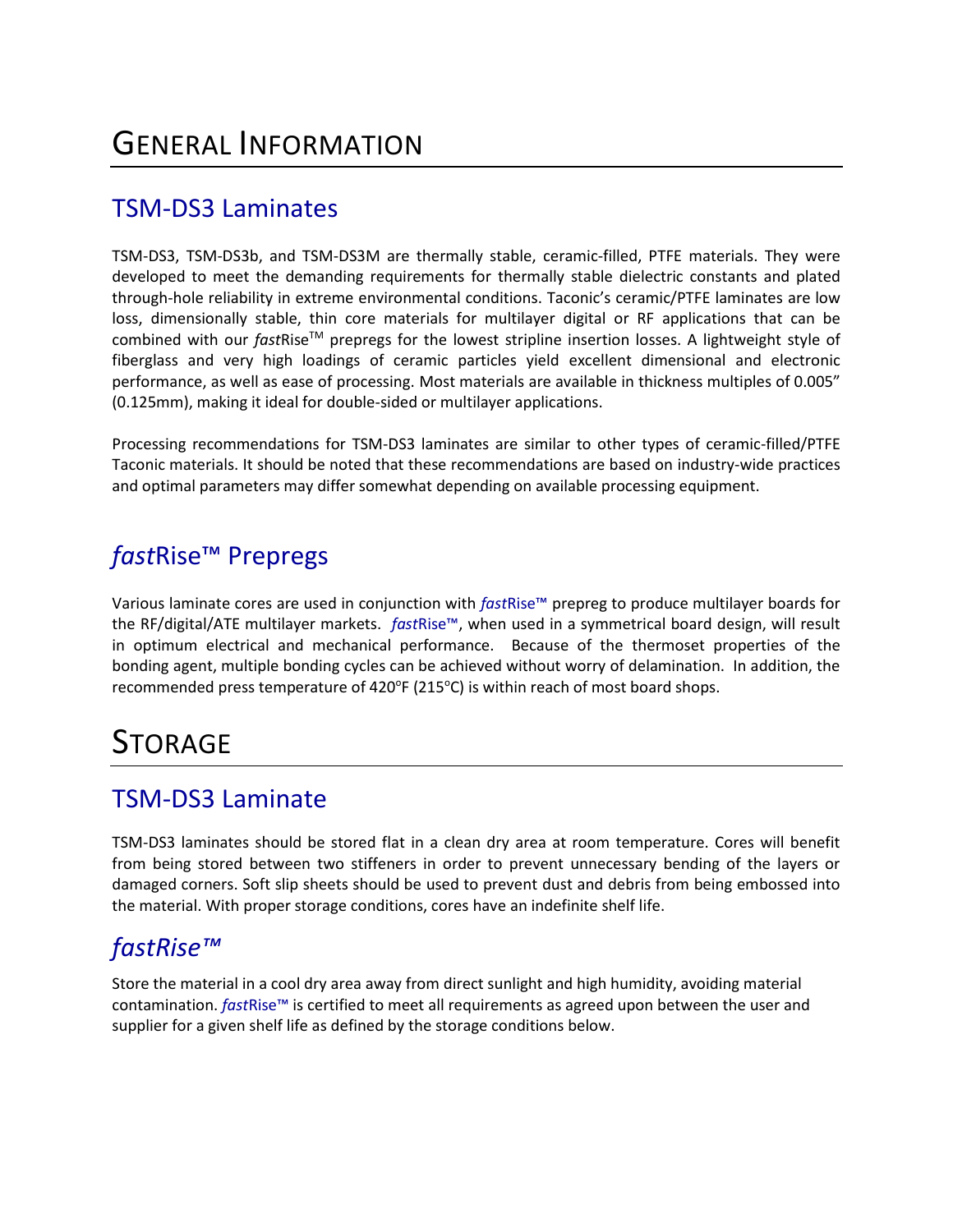## TSM-DS3 Laminates

TSM-DS3, TSM-DS3b, and TSM-DS3M are thermally stable, ceramic-filled, PTFE materials. They were developed to meet the demanding requirements for thermally stable dielectric constants and plated through-hole reliability in extreme environmental conditions. Taconic's ceramic/PTFE laminates are low loss, dimensionally stable, thin core materials for multilayer digital or RF applications that can be combined with our *fastRise*™ prepregs for the lowest stripline insertion losses. A lightweight style of fiberglass and very high loadings of ceramic particles yield excellent dimensional and electronic performance, as well as ease of processing. Most materials are available in thickness multiples of 0.005" (0.125mm), making it ideal for double-sided or multilayer applications.

Processing recommendations for TSM-DS3 laminates are similar to other types of ceramic-filled/PTFE Taconic materials. It should be noted that these recommendations are based on industry-wide practices and optimal parameters may differ somewhat depending on available processing equipment.

# *fast*Rise™ Prepregs

Various laminate cores are used in conjunction with *fast*Rise™ prepreg to produce multilayer boards for the RF/digital/ATE multilayer markets. *fast*Rise™, when used in a symmetrical board design, will result in optimum electrical and mechanical performance. Because of the thermoset properties of the bonding agent, multiple bonding cycles can be achieved without worry of delamination. In addition, the recommended press temperature of 420 $\textdegree$ F (215 $\textdegree$ C) is within reach of most board shops.

# **STORAGE**

### TSM-DS3 Laminate

TSM-DS3 laminates should be stored flat in a clean dry area at room temperature. Cores will benefit from being stored between two stiffeners in order to prevent unnecessary bending of the layers or damaged corners. Soft slip sheets should be used to prevent dust and debris from being embossed into the material. With proper storage conditions, cores have an indefinite shelf life.

### *fastRise™*

Store the material in a cool dry area away from direct sunlight and high humidity, avoiding material contamination. *fast*Rise™ is certified to meet all requirements as agreed upon between the user and supplier for a given shelf life as defined by the storage conditions below.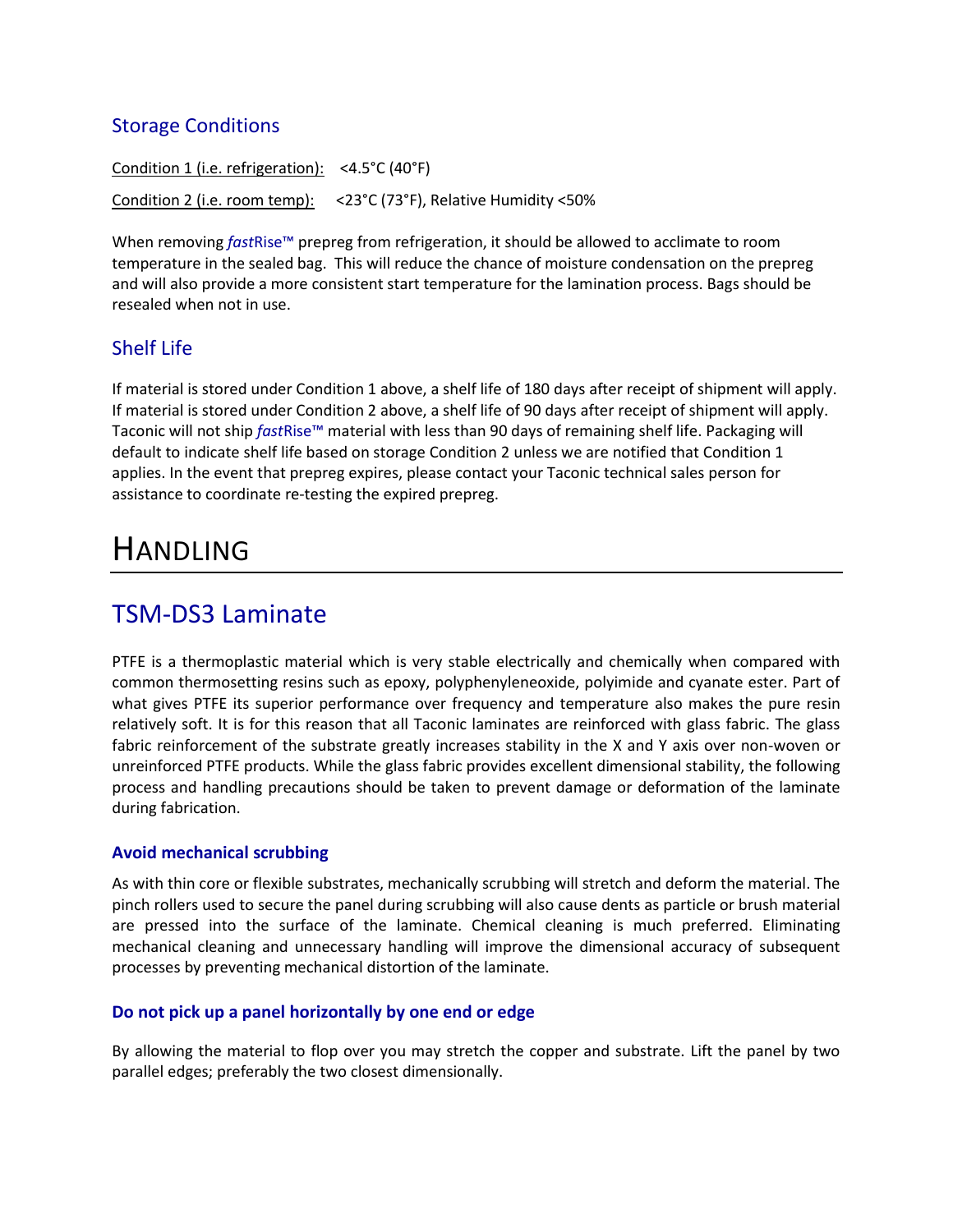### Storage Conditions

Condition 1 (i.e. refrigeration): <4.5°C (40°F) Condition 2 (i.e. room temp): <23°C (73°F), Relative Humidity <50%

When removing *fast*Rise™ prepreg from refrigeration, it should be allowed to acclimate to room temperature in the sealed bag. This will reduce the chance of moisture condensation on the prepreg and will also provide a more consistent start temperature for the lamination process. Bags should be resealed when not in use.

#### Shelf Life

If material is stored under Condition 1 above, a shelf life of 180 days after receipt of shipment will apply. If material is stored under Condition 2 above, a shelf life of 90 days after receipt of shipment will apply. Taconic will not ship *fast*Rise™ material with less than 90 days of remaining shelf life. Packaging will default to indicate shelf life based on storage Condition 2 unless we are notified that Condition 1 applies. In the event that prepreg expires, please contact your Taconic technical sales person for assistance to coordinate re-testing the expired prepreg.

# HANDLING

### TSM-DS3 Laminate

PTFE is a thermoplastic material which is very stable electrically and chemically when compared with common thermosetting resins such as epoxy, polyphenyleneoxide, polyimide and cyanate ester. Part of what gives PTFE its superior performance over frequency and temperature also makes the pure resin relatively soft. It is for this reason that all Taconic laminates are reinforced with glass fabric. The glass fabric reinforcement of the substrate greatly increases stability in the X and Y axis over non-woven or unreinforced PTFE products. While the glass fabric provides excellent dimensional stability, the following process and handling precautions should be taken to prevent damage or deformation of the laminate during fabrication.

#### **Avoid mechanical scrubbing**

As with thin core or flexible substrates, mechanically scrubbing will stretch and deform the material. The pinch rollers used to secure the panel during scrubbing will also cause dents as particle or brush material are pressed into the surface of the laminate. Chemical cleaning is much preferred. Eliminating mechanical cleaning and unnecessary handling will improve the dimensional accuracy of subsequent processes by preventing mechanical distortion of the laminate.

#### **Do not pick up a panel horizontally by one end or edge**

By allowing the material to flop over you may stretch the copper and substrate. Lift the panel by two parallel edges; preferably the two closest dimensionally.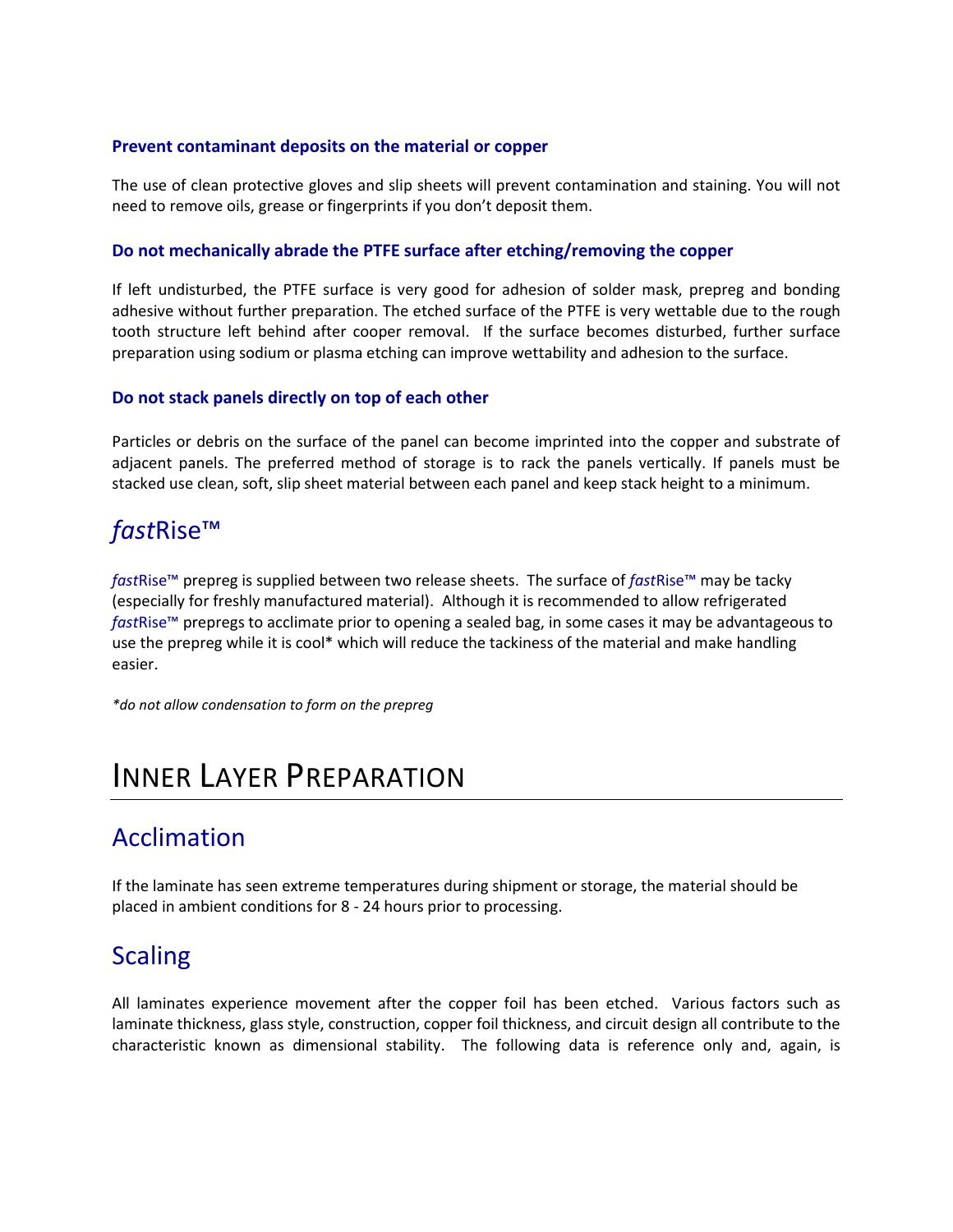#### **Prevent contaminant deposits on the material or copper**

The use of clean protective gloves and slip sheets will prevent contamination and staining. You will not need to remove oils, grease or fingerprints if you don't deposit them.

#### **Do not mechanically abrade the PTFE surface after etching/removing the copper**

If left undisturbed, the PTFE surface is very good for adhesion of solder mask, prepreg and bonding adhesive without further preparation. The etched surface of the PTFE is very wettable due to the rough tooth structure left behind after cooper removal. If the surface becomes disturbed, further surface preparation using sodium or plasma etching can improve wettability and adhesion to the surface.

#### **Do not stack panels directly on top of each other**

Particles or debris on the surface of the panel can become imprinted into the copper and substrate of adjacent panels. The preferred method of storage is to rack the panels vertically. If panels must be stacked use clean, soft, slip sheet material between each panel and keep stack height to a minimum.

### *fast*Rise™

*fast*Rise™ prepreg is supplied between two release sheets. The surface of *fast*Rise™ may be tacky (especially for freshly manufactured material).Although it is recommended to allow refrigerated *fast*Rise™ prepregs to acclimate prior to opening a sealed bag, in some cases it may be advantageous to use the prepreg while it is cool\* which will reduce the tackiness of the material and make handling easier.

*\*do not allow condensation to form on the prepreg*

# INNER LAYER PREPARATION

### Acclimation

If the laminate has seen extreme temperatures during shipment or storage, the material should be placed in ambient conditions for 8 - 24 hours prior to processing.

### **Scaling**

All laminates experience movement after the copper foil has been etched. Various factors such as laminate thickness, glass style, construction, copper foil thickness, and circuit design all contribute to the characteristic known as dimensional stability. The following data is reference only and, again, is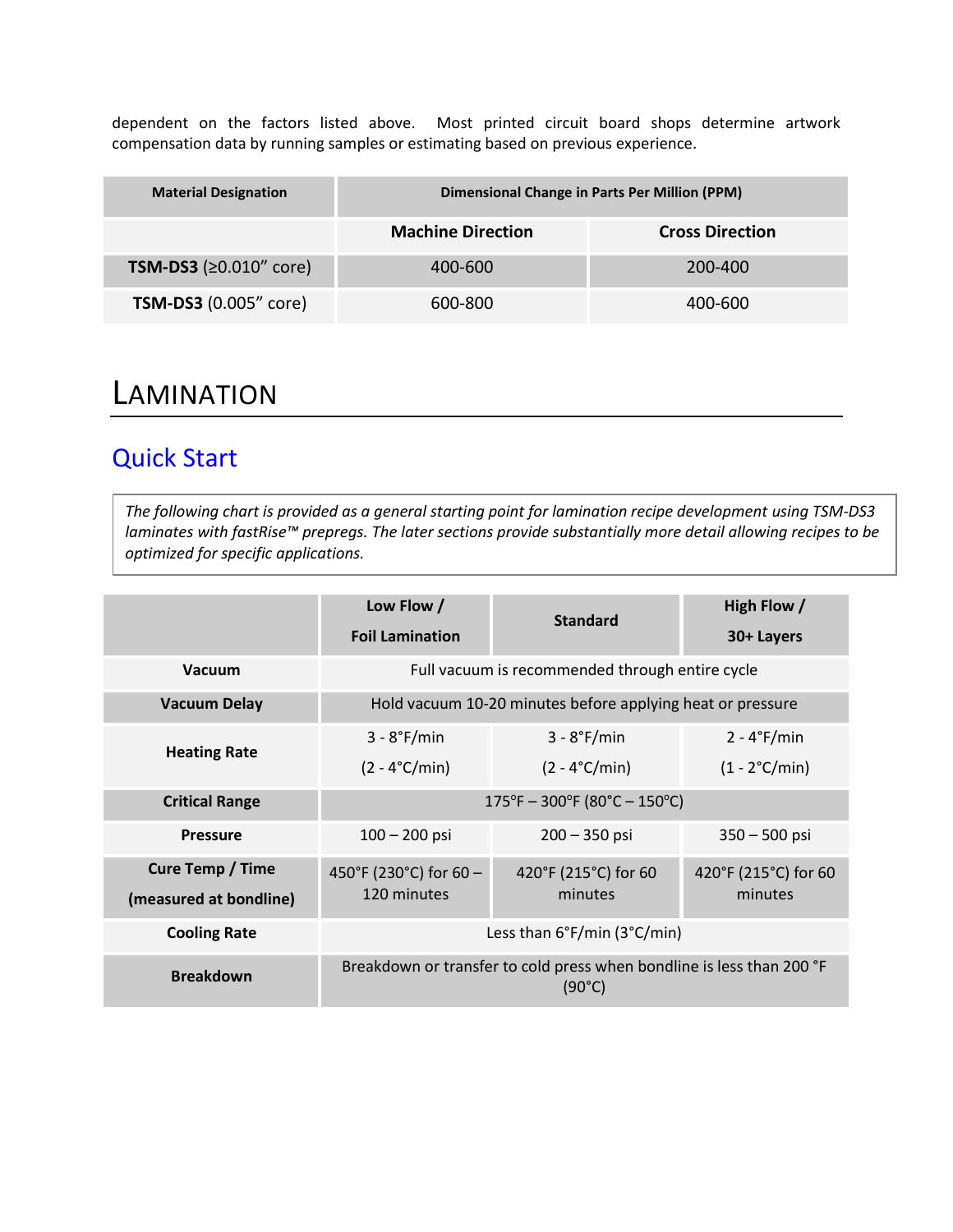dependent on the factors listed above. Most printed circuit board shops determine artwork compensation data by running samples or estimating based on previous experience.

| <b>Material Designation</b>   | <b>Dimensional Change in Parts Per Million (PPM)</b> |                        |  |  |
|-------------------------------|------------------------------------------------------|------------------------|--|--|
|                               | <b>Machine Direction</b>                             | <b>Cross Direction</b> |  |  |
| <b>TSM-DS3</b> (≥0.010" core) | 400-600                                              | 200-400                |  |  |
| <b>TSM-DS3</b> (0.005" core)  | 600-800                                              | 400-600                |  |  |

## **LAMINATION**

### Quick Start

*The following chart is provided as a general starting point for lamination recipe development using TSM-DS3 laminates with fastRise™ prepregs. The later sections provide substantially more detail allowing recipes to be optimized for specific applications.*

|                                                   | Low Flow /<br><b>Foil Lamination</b>                                                                        | <b>Standard</b>                          | High Flow /<br>30+ Layers                |  |  |
|---------------------------------------------------|-------------------------------------------------------------------------------------------------------------|------------------------------------------|------------------------------------------|--|--|
| <b>Vacuum</b>                                     | Full vacuum is recommended through entire cycle                                                             |                                          |                                          |  |  |
| <b>Vacuum Delay</b>                               | Hold vacuum 10-20 minutes before applying heat or pressure                                                  |                                          |                                          |  |  |
| <b>Heating Rate</b>                               | $3 - 8$ °F/min<br>$(2 - 4^{\circ}C/min)$                                                                    | $3 - 8$ °F/min<br>$(2 - 4^{\circ}C/min)$ | $2 - 4$ °F/min<br>$(1 - 2^{\circ}C/min)$ |  |  |
| <b>Critical Range</b>                             | $175^{\circ}F - 300^{\circ}F (80^{\circ}C - 150^{\circ}C)$                                                  |                                          |                                          |  |  |
| <b>Pressure</b>                                   | $100 - 200$ psi<br>$200 - 350$ psi<br>$350 - 500$ psi                                                       |                                          |                                          |  |  |
| <b>Cure Temp / Time</b><br>(measured at bondline) | 450°F (230°C) for 60 -<br>420°F (215°C) for 60<br>420°F (215°C) for 60<br>120 minutes<br>minutes<br>minutes |                                          |                                          |  |  |
| <b>Cooling Rate</b>                               | Less than 6°F/min (3°C/min)                                                                                 |                                          |                                          |  |  |
| <b>Breakdown</b>                                  | Breakdown or transfer to cold press when bondline is less than 200 °F<br>(90°C)                             |                                          |                                          |  |  |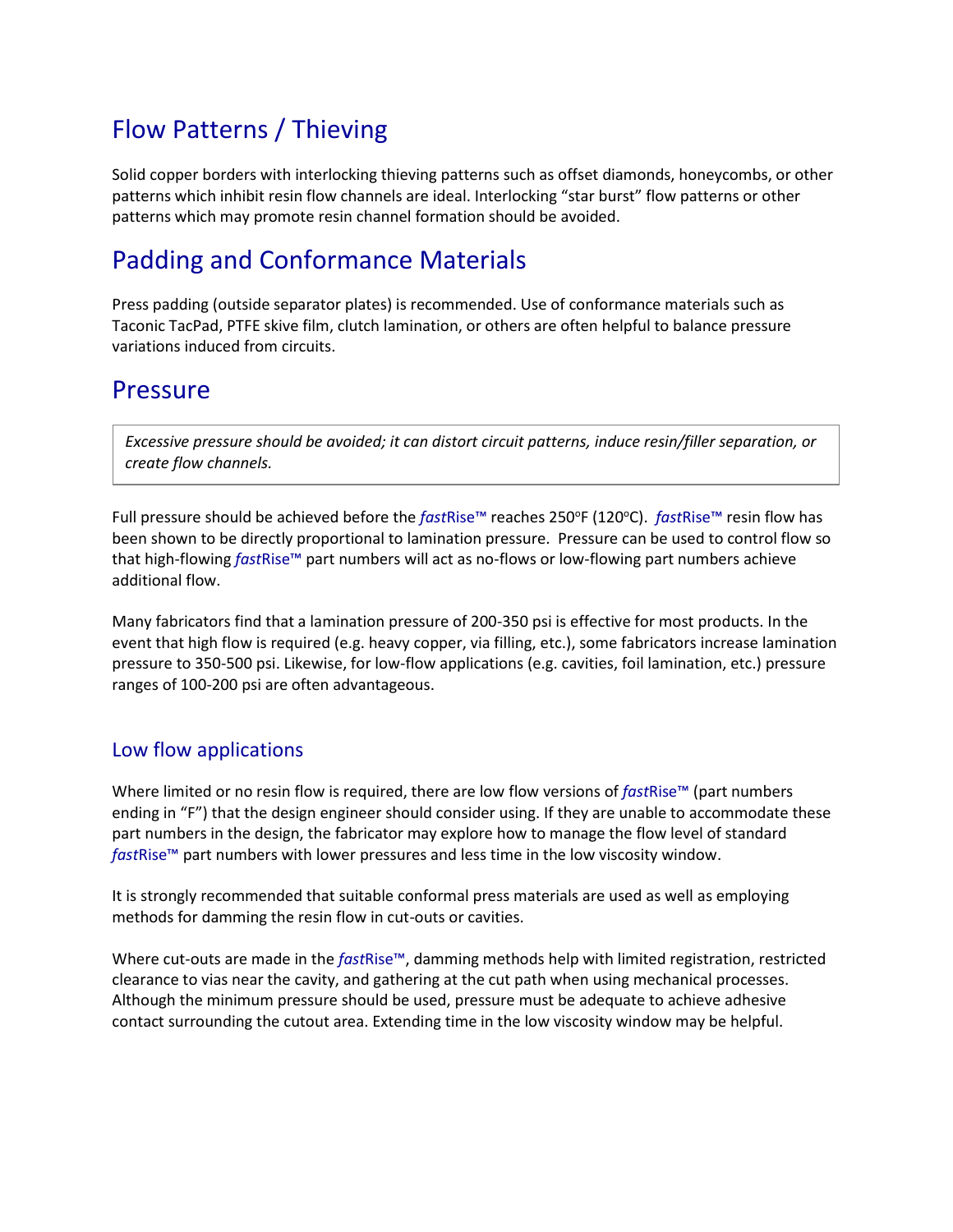## Flow Patterns / Thieving

Solid copper borders with interlocking thieving patterns such as offset diamonds, honeycombs, or other patterns which inhibit resin flow channels are ideal. Interlocking "star burst" flow patterns or other patterns which may promote resin channel formation should be avoided.

### Padding and Conformance Materials

Press padding (outside separator plates) is recommended. Use of conformance materials such as Taconic TacPad, PTFE skive film, clutch lamination, or others are often helpful to balance pressure variations induced from circuits.

### Pressure

*Excessive pressure should be avoided; it can distort circuit patterns, induce resin/filler separation, or create flow channels.* 

Full pressure should be achieved before the *fastRise*™ reaches 250°F (120°C). *fastRise*™ resin flow has been shown to be directly proportional to lamination pressure. Pressure can be used to control flow so that high-flowing *fast*Rise™ part numbers will act as no-flows or low-flowing part numbers achieve additional flow.

Many fabricators find that a lamination pressure of 200-350 psi is effective for most products. In the event that high flow is required (e.g. heavy copper, via filling, etc.), some fabricators increase lamination pressure to 350-500 psi. Likewise, for low-flow applications (e.g. cavities, foil lamination, etc.) pressure ranges of 100-200 psi are often advantageous.

### Low flow applications

Where limited or no resin flow is required, there are low flow versions of *fast*Rise™ (part numbers ending in "F") that the design engineer should consider using. If they are unable to accommodate these part numbers in the design, the fabricator may explore how to manage the flow level of standard *fast*Rise™ part numbers with lower pressures and less time in the low viscosity window.

It is strongly recommended that suitable conformal press materials are used as well as employing methods for damming the resin flow in cut-outs or cavities.

Where cut-outs are made in the *fast*Rise™, damming methods help with limited registration, restricted clearance to vias near the cavity, and gathering at the cut path when using mechanical processes. Although the minimum pressure should be used, pressure must be adequate to achieve adhesive contact surrounding the cutout area. Extending time in the low viscosity window may be helpful.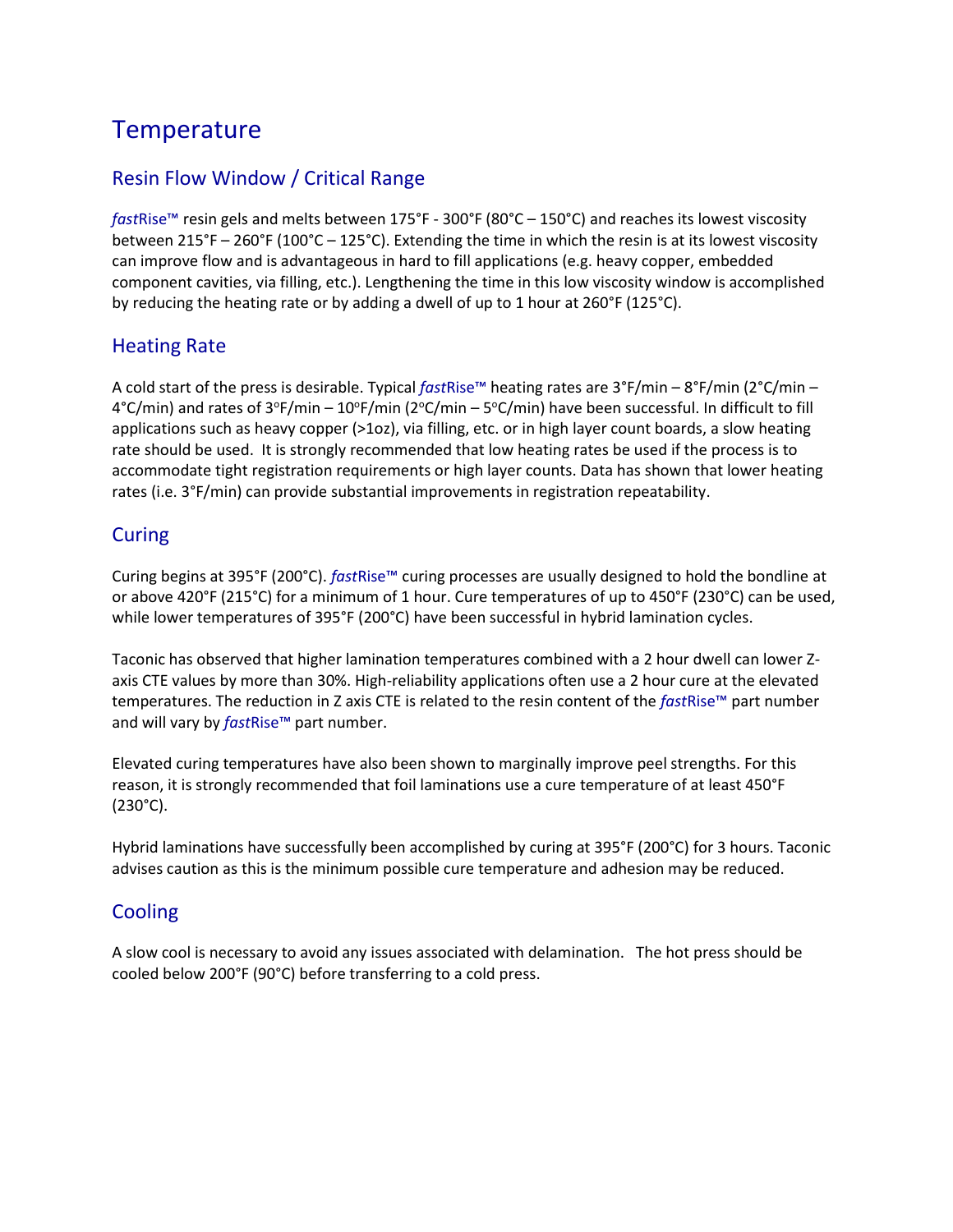## **Temperature**

### Resin Flow Window / Critical Range

*fast*Rise™ resin gels and melts between 175°F - 300°F (80°C – 150°C) and reaches its lowest viscosity between 215°F – 260°F (100°C – 125°C). Extending the time in which the resin is at its lowest viscosity can improve flow and is advantageous in hard to fill applications (e.g. heavy copper, embedded component cavities, via filling, etc.). Lengthening the time in this low viscosity window is accomplished by reducing the heating rate or by adding a dwell of up to 1 hour at 260°F (125°C).

### Heating Rate

A cold start of the press is desirable. Typical *fast*Rise™ heating rates are 3°F/min – 8°F/min (2°C/min –  $4^{\circ}$ C/min) and rates of  $3^{\circ}$ F/min –  $10^{\circ}$ F/min (2 $^{\circ}$ C/min – 5 $^{\circ}$ C/min) have been successful. In difficult to fill applications such as heavy copper (>1oz), via filling, etc. or in high layer count boards, a slow heating rate should be used. It is strongly recommended that low heating rates be used if the process is to accommodate tight registration requirements or high layer counts. Data has shown that lower heating rates (i.e. 3°F/min) can provide substantial improvements in registration repeatability.

#### Curing

Curing begins at 395°F (200°C). *fast*Rise™ curing processes are usually designed to hold the bondline at or above 420°F (215°C) for a minimum of 1 hour. Cure temperatures of up to 450°F (230°C) can be used, while lower temperatures of 395°F (200°C) have been successful in hybrid lamination cycles.

Taconic has observed that higher lamination temperatures combined with a 2 hour dwell can lower Zaxis CTE values by more than 30%. High-reliability applications often use a 2 hour cure at the elevated temperatures. The reduction in Z axis CTE is related to the resin content of the *fast*Rise™ part number and will vary by *fast*Rise™ part number.

Elevated curing temperatures have also been shown to marginally improve peel strengths. For this reason, it is strongly recommended that foil laminations use a cure temperature of at least 450°F (230°C).

Hybrid laminations have successfully been accomplished by curing at 395°F (200°C) for 3 hours. Taconic advises caution as this is the minimum possible cure temperature and adhesion may be reduced.

### Cooling

A slow cool is necessary to avoid any issues associated with delamination. The hot press should be cooled below 200°F (90°C) before transferring to a cold press.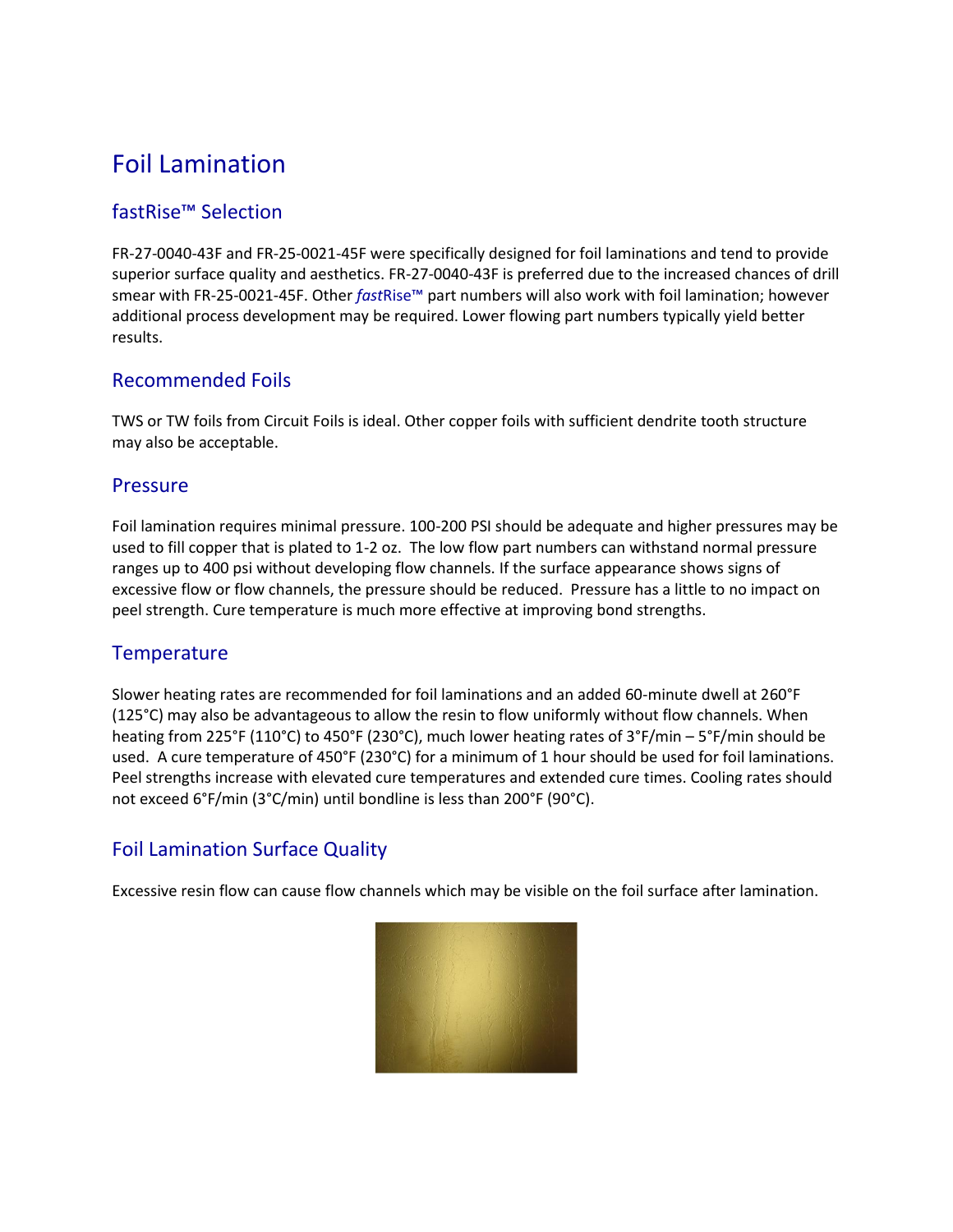## Foil Lamination

### fastRise™ Selection

FR-27-0040-43F and FR-25-0021-45F were specifically designed for foil laminations and tend to provide superior surface quality and aesthetics. FR-27-0040-43F is preferred due to the increased chances of drill smear with FR-25-0021-45F. Other *fast*Rise™ part numbers will also work with foil lamination; however additional process development may be required. Lower flowing part numbers typically yield better results.

#### Recommended Foils

TWS or TW foils from Circuit Foils is ideal. Other copper foils with sufficient dendrite tooth structure may also be acceptable.

#### Pressure

Foil lamination requires minimal pressure. 100-200 PSI should be adequate and higher pressures may be used to fill copper that is plated to 1-2 oz. The low flow part numbers can withstand normal pressure ranges up to 400 psi without developing flow channels. If the surface appearance shows signs of excessive flow or flow channels, the pressure should be reduced. Pressure has a little to no impact on peel strength. Cure temperature is much more effective at improving bond strengths.

### **Temperature**

Slower heating rates are recommended for foil laminations and an added 60-minute dwell at 260°F (125°C) may also be advantageous to allow the resin to flow uniformly without flow channels. When heating from 225°F (110°C) to 450°F (230°C), much lower heating rates of 3°F/min – 5°F/min should be used. A cure temperature of 450°F (230°C) for a minimum of 1 hour should be used for foil laminations. Peel strengths increase with elevated cure temperatures and extended cure times. Cooling rates should not exceed 6°F/min (3°C/min) until bondline is less than 200°F (90°C).

### Foil Lamination Surface Quality

Excessive resin flow can cause flow channels which may be visible on the foil surface after lamination.

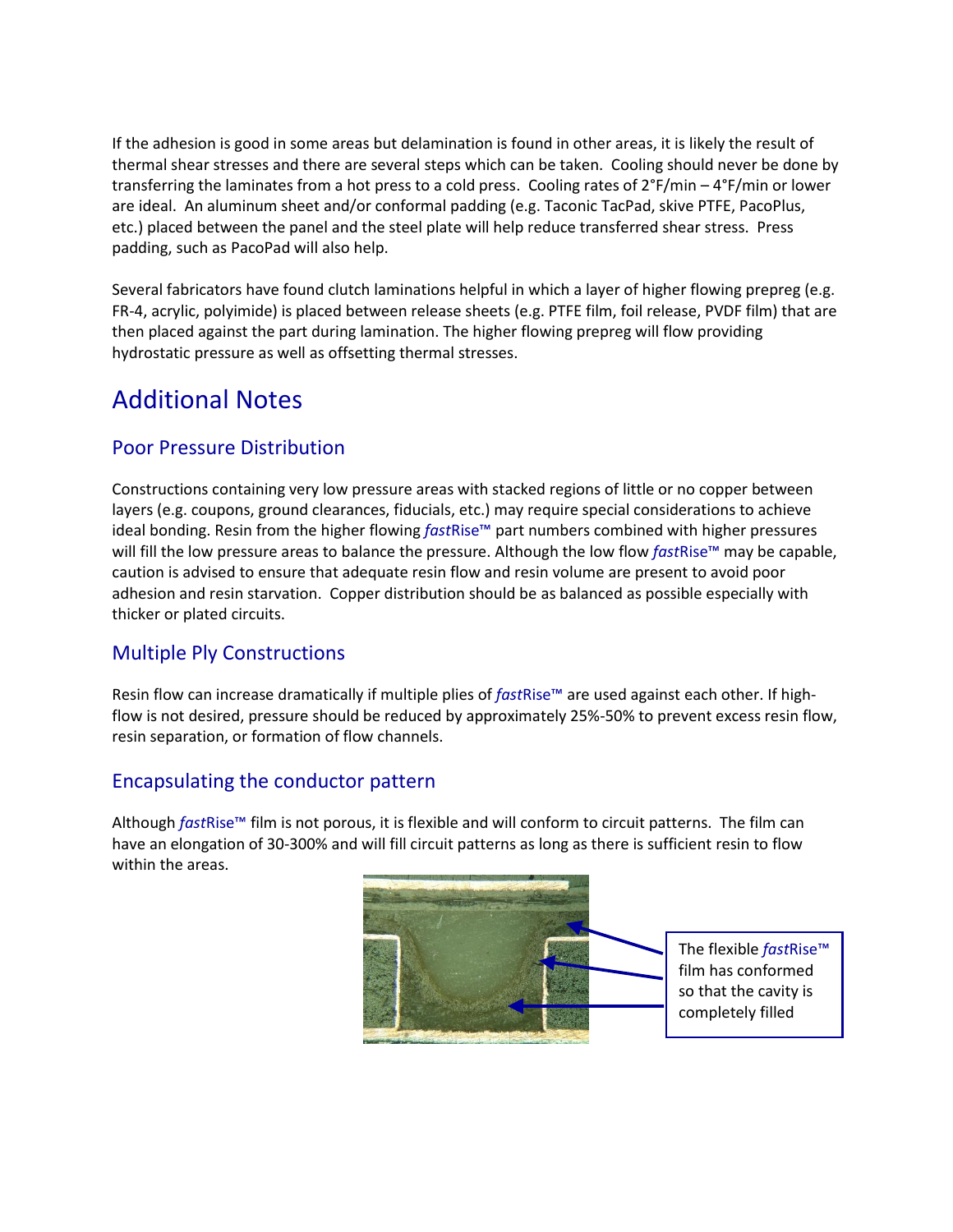If the adhesion is good in some areas but delamination is found in other areas, it is likely the result of thermal shear stresses and there are several steps which can be taken. Cooling should never be done by transferring the laminates from a hot press to a cold press. Cooling rates of 2°F/min – 4°F/min or lower are ideal. An aluminum sheet and/or conformal padding (e.g. Taconic TacPad, skive PTFE, PacoPlus, etc.) placed between the panel and the steel plate will help reduce transferred shear stress. Press padding, such as PacoPad will also help.

Several fabricators have found clutch laminations helpful in which a layer of higher flowing prepreg (e.g. FR-4, acrylic, polyimide) is placed between release sheets (e.g. PTFE film, foil release, PVDF film) that are then placed against the part during lamination. The higher flowing prepreg will flow providing hydrostatic pressure as well as offsetting thermal stresses.

## Additional Notes

### Poor Pressure Distribution

Constructions containing very low pressure areas with stacked regions of little or no copper between layers (e.g. coupons, ground clearances, fiducials, etc.) may require special considerations to achieve ideal bonding. Resin from the higher flowing *fast*Rise™ part numbers combined with higher pressures will fill the low pressure areas to balance the pressure. Although the low flow *fast*Rise™ may be capable, caution is advised to ensure that adequate resin flow and resin volume are present to avoid poor adhesion and resin starvation. Copper distribution should be as balanced as possible especially with thicker or plated circuits.

### Multiple Ply Constructions

Resin flow can increase dramatically if multiple plies of *fast*Rise™ are used against each other. If highflow is not desired, pressure should be reduced by approximately 25%-50% to prevent excess resin flow, resin separation, or formation of flow channels.

### Encapsulating the conductor pattern

Although *fast*Rise™ film is not porous, it is flexible and will conform to circuit patterns. The film can have an elongation of 30-300% and will fill circuit patterns as long as there is sufficient resin to flow within the areas.

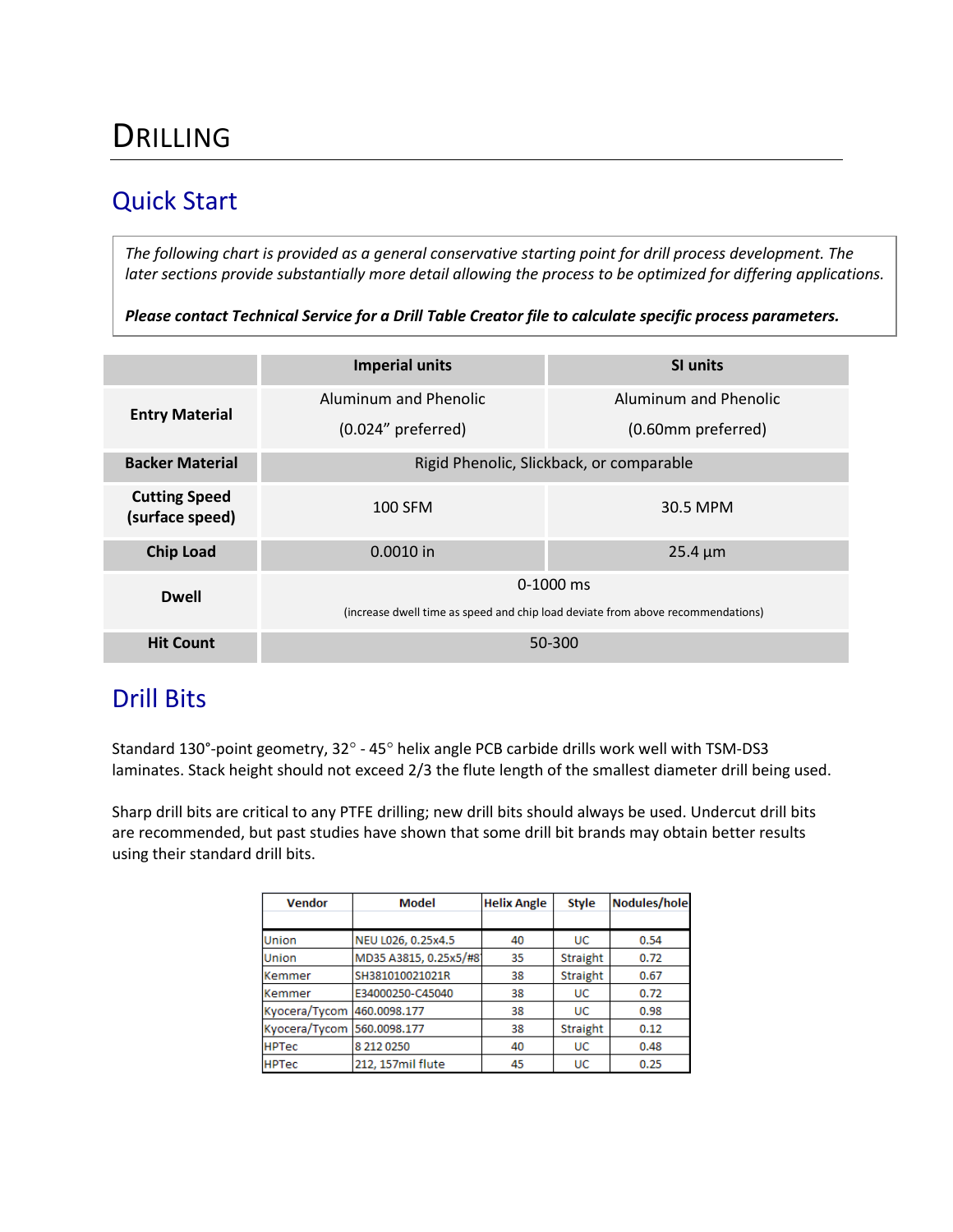# DRILLING

### Quick Start

*The following chart is provided as a general conservative starting point for drill process development. The later sections provide substantially more detail allowing the process to be optimized for differing applications.*

*Please contact Technical Service for a Drill Table Creator file to calculate specific process parameters.*

|                                         | <b>Imperial units</b>                                                           | <b>SI units</b>       |  |  |  |  |  |
|-----------------------------------------|---------------------------------------------------------------------------------|-----------------------|--|--|--|--|--|
| <b>Entry Material</b>                   | Aluminum and Phenolic                                                           | Aluminum and Phenolic |  |  |  |  |  |
|                                         | $(0.024"$ preferred)                                                            | (0.60mm preferred)    |  |  |  |  |  |
| <b>Backer Material</b>                  | Rigid Phenolic, Slickback, or comparable                                        |                       |  |  |  |  |  |
| <b>Cutting Speed</b><br>(surface speed) | 100 SFM                                                                         | 30.5 MPM              |  |  |  |  |  |
| <b>Chip Load</b>                        | 0.0010 in                                                                       | $25.4 \mu m$          |  |  |  |  |  |
| <b>Dwell</b>                            | $0-1000$ ms                                                                     |                       |  |  |  |  |  |
|                                         | (increase dwell time as speed and chip load deviate from above recommendations) |                       |  |  |  |  |  |
| <b>Hit Count</b>                        | 50-300                                                                          |                       |  |  |  |  |  |

### Drill Bits

Standard 130°-point geometry, 32° - 45° helix angle PCB carbide drills work well with TSM-DS3 laminates. Stack height should not exceed 2/3 the flute length of the smallest diameter drill being used.

Sharp drill bits are critical to any PTFE drilling; new drill bits should always be used. Undercut drill bits are recommended, but past studies have shown that some drill bit brands may obtain better results using their standard drill bits.

| <b>Vendor</b> | Model                 | <b>Helix Angle</b> | <b>Style</b> | <b>Nodules/hole</b> |
|---------------|-----------------------|--------------------|--------------|---------------------|
|               |                       |                    |              |                     |
| Union         | NEU L026, 0.25x4.5    | 40                 | UC           | 0.54                |
| Union         | MD35 A3815, 0.25x5/#8 | 35                 | Straight     | 0.72                |
| Kemmer        | SH381010021021R       | 38                 | Straight     | 0.67                |
| Kemmer        | E34000250-C45040      | 38                 | UC           | 0.72                |
| Kyocera/Tycom | 460.0098.177          | 38                 | UC           | 0.98                |
| Kyocera/Tycom | 560.0098.177          | 38                 | Straight     | 0.12                |
| <b>HPTec</b>  | 8 212 0250            | 40                 | <b>UC</b>    | 0.48                |
| <b>HPTec</b>  | 212, 157mil flute     | 45                 | UC           | 0.25                |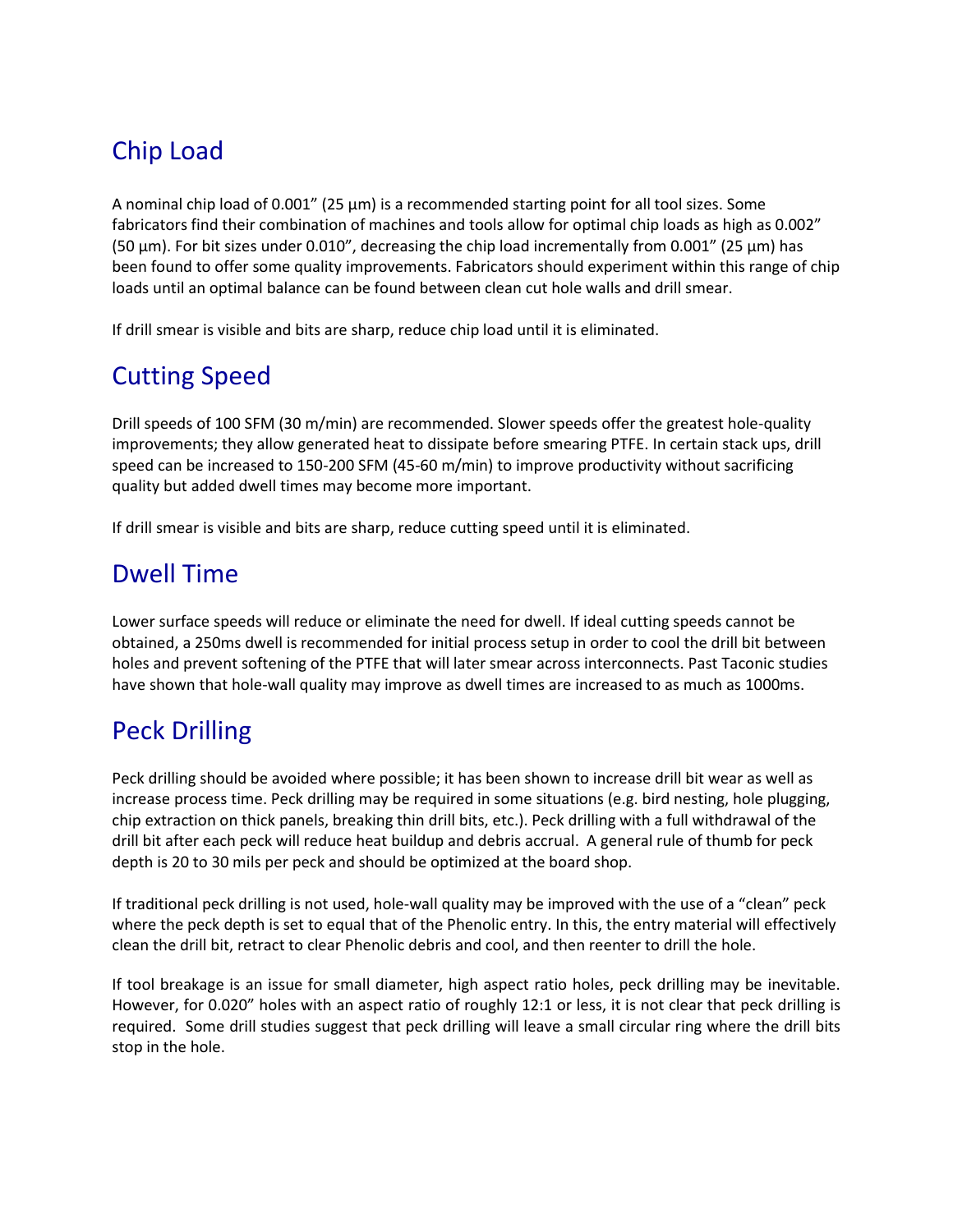## Chip Load

A nominal chip load of 0.001" (25 µm) is a recommended starting point for all tool sizes. Some fabricators find their combination of machines and tools allow for optimal chip loads as high as 0.002" (50  $\mu$ m). For bit sizes under 0.010", decreasing the chip load incrementally from 0.001" (25  $\mu$ m) has been found to offer some quality improvements. Fabricators should experiment within this range of chip loads until an optimal balance can be found between clean cut hole walls and drill smear.

If drill smear is visible and bits are sharp, reduce chip load until it is eliminated.

## Cutting Speed

Drill speeds of 100 SFM (30 m/min) are recommended. Slower speeds offer the greatest hole-quality improvements; they allow generated heat to dissipate before smearing PTFE. In certain stack ups, drill speed can be increased to 150-200 SFM (45-60 m/min) to improve productivity without sacrificing quality but added dwell times may become more important.

If drill smear is visible and bits are sharp, reduce cutting speed until it is eliminated.

### Dwell Time

Lower surface speeds will reduce or eliminate the need for dwell. If ideal cutting speeds cannot be obtained, a 250ms dwell is recommended for initial process setup in order to cool the drill bit between holes and prevent softening of the PTFE that will later smear across interconnects. Past Taconic studies have shown that hole-wall quality may improve as dwell times are increased to as much as 1000ms.

## Peck Drilling

Peck drilling should be avoided where possible; it has been shown to increase drill bit wear as well as increase process time. Peck drilling may be required in some situations (e.g. bird nesting, hole plugging, chip extraction on thick panels, breaking thin drill bits, etc.). Peck drilling with a full withdrawal of the drill bit after each peck will reduce heat buildup and debris accrual. A general rule of thumb for peck depth is 20 to 30 mils per peck and should be optimized at the board shop.

If traditional peck drilling is not used, hole-wall quality may be improved with the use of a "clean" peck where the peck depth is set to equal that of the Phenolic entry. In this, the entry material will effectively clean the drill bit, retract to clear Phenolic debris and cool, and then reenter to drill the hole.

If tool breakage is an issue for small diameter, high aspect ratio holes, peck drilling may be inevitable. However, for 0.020" holes with an aspect ratio of roughly 12:1 or less, it is not clear that peck drilling is required. Some drill studies suggest that peck drilling will leave a small circular ring where the drill bits stop in the hole.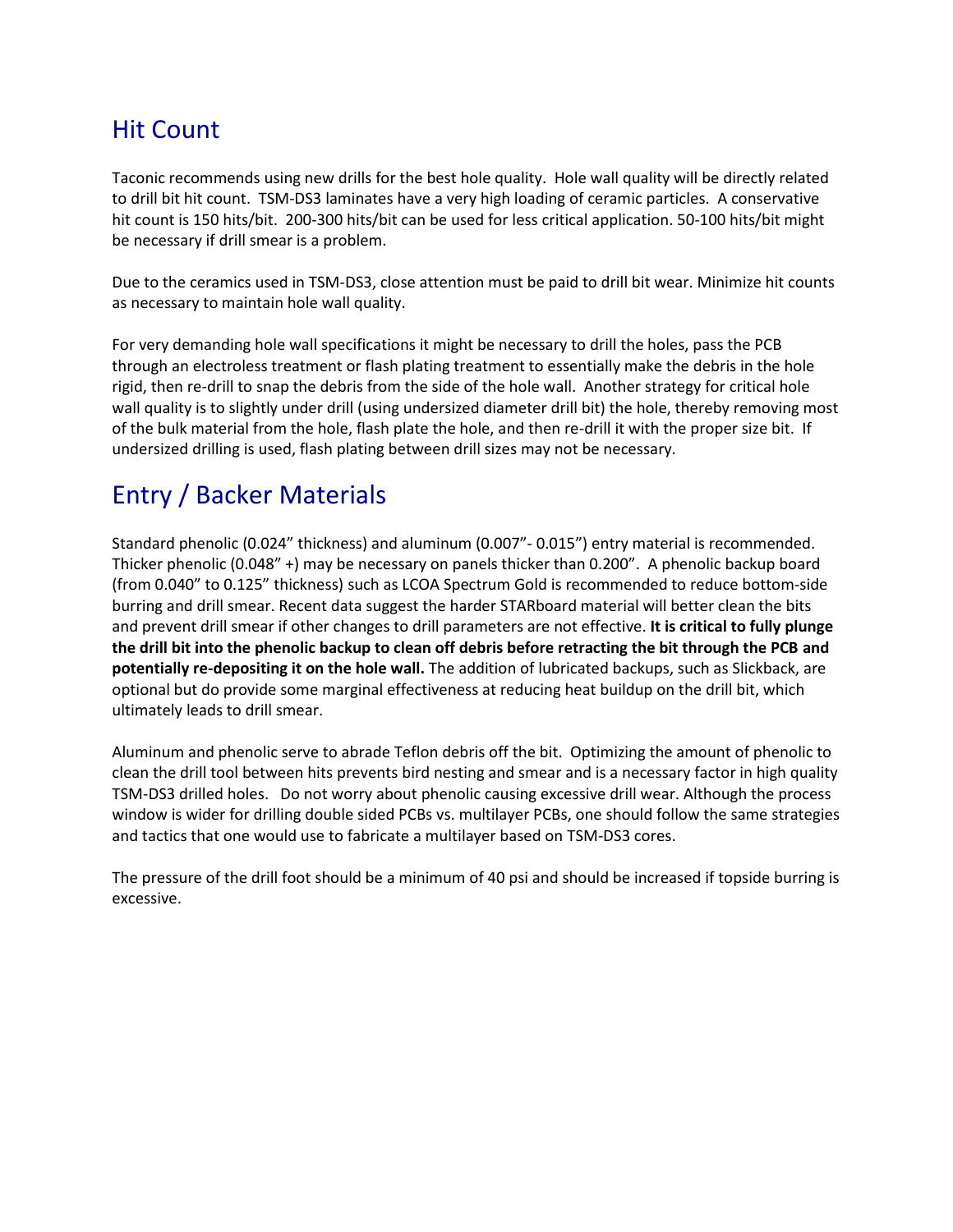### Hit Count

Taconic recommends using new drills for the best hole quality. Hole wall quality will be directly related to drill bit hit count. TSM-DS3 laminates have a very high loading of ceramic particles. A conservative hit count is 150 hits/bit. 200-300 hits/bit can be used for less critical application. 50-100 hits/bit might be necessary if drill smear is a problem.

Due to the ceramics used in TSM-DS3, close attention must be paid to drill bit wear. Minimize hit counts as necessary to maintain hole wall quality.

For very demanding hole wall specifications it might be necessary to drill the holes, pass the PCB through an electroless treatment or flash plating treatment to essentially make the debris in the hole rigid, then re-drill to snap the debris from the side of the hole wall. Another strategy for critical hole wall quality is to slightly under drill (using undersized diameter drill bit) the hole, thereby removing most of the bulk material from the hole, flash plate the hole, and then re-drill it with the proper size bit. If undersized drilling is used, flash plating between drill sizes may not be necessary.

## Entry / Backer Materials

Standard phenolic (0.024" thickness) and aluminum (0.007"- 0.015") entry material is recommended. Thicker phenolic (0.048" +) may be necessary on panels thicker than 0.200". A phenolic backup board (from 0.040" to 0.125" thickness) such as LCOA Spectrum Gold is recommended to reduce bottom-side burring and drill smear. Recent data suggest the harder STARboard material will better clean the bits and prevent drill smear if other changes to drill parameters are not effective. **It is critical to fully plunge the drill bit into the phenolic backup to clean off debris before retracting the bit through the PCB and potentially re-depositing it on the hole wall.** The addition of lubricated backups, such as Slickback, are optional but do provide some marginal effectiveness at reducing heat buildup on the drill bit, which ultimately leads to drill smear.

Aluminum and phenolic serve to abrade Teflon debris off the bit. Optimizing the amount of phenolic to clean the drill tool between hits prevents bird nesting and smear and is a necessary factor in high quality TSM-DS3 drilled holes. Do not worry about phenolic causing excessive drill wear. Although the process window is wider for drilling double sided PCBs vs. multilayer PCBs, one should follow the same strategies and tactics that one would use to fabricate a multilayer based on TSM-DS3 cores.

The pressure of the drill foot should be a minimum of 40 psi and should be increased if topside burring is excessive.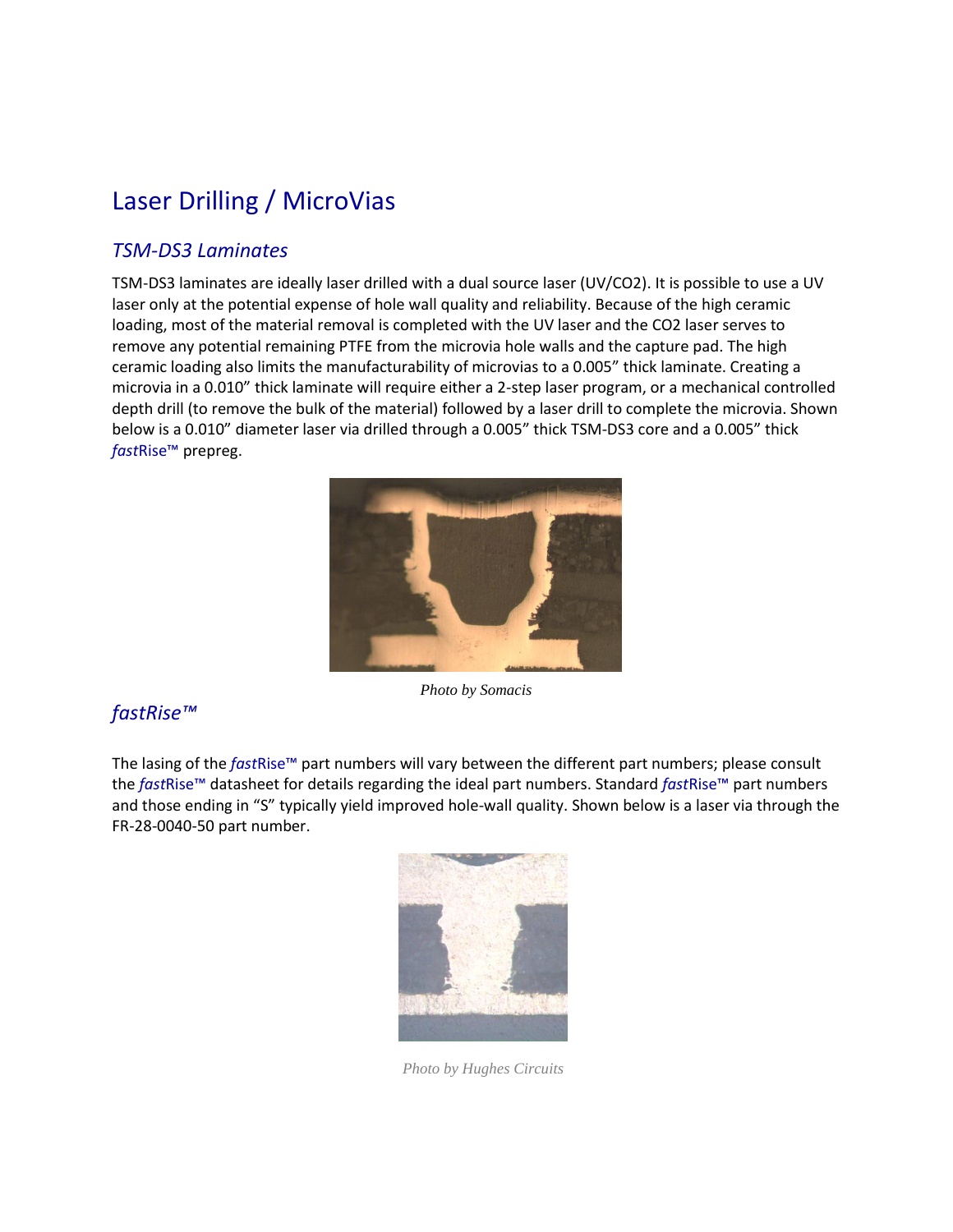## Laser Drilling / MicroVias

### *TSM-DS3 Laminates*

TSM-DS3 laminates are ideally laser drilled with a dual source laser (UV/CO2). It is possible to use a UV laser only at the potential expense of hole wall quality and reliability. Because of the high ceramic loading, most of the material removal is completed with the UV laser and the CO2 laser serves to remove any potential remaining PTFE from the microvia hole walls and the capture pad. The high ceramic loading also limits the manufacturability of microvias to a 0.005" thick laminate. Creating a microvia in a 0.010" thick laminate will require either a 2-step laser program, or a mechanical controlled depth drill (to remove the bulk of the material) followed by a laser drill to complete the microvia. Shown below is a 0.010" diameter laser via drilled through a 0.005" thick TSM-DS3 core and a 0.005" thick *fast*Rise™ prepreg.



### *fastRise™*

The lasing of the *fast*Rise™ part numbers will vary between the different part numbers; please consult

the *fast*Rise™ datasheet for details regarding the ideal part numbers. Standard *fast*Rise™ part numbers and those ending in "S" typically yield improved hole-wall quality. Shown below is a laser via through the FR-28-0040-50 part number.



*Photo by Hughes Circuits*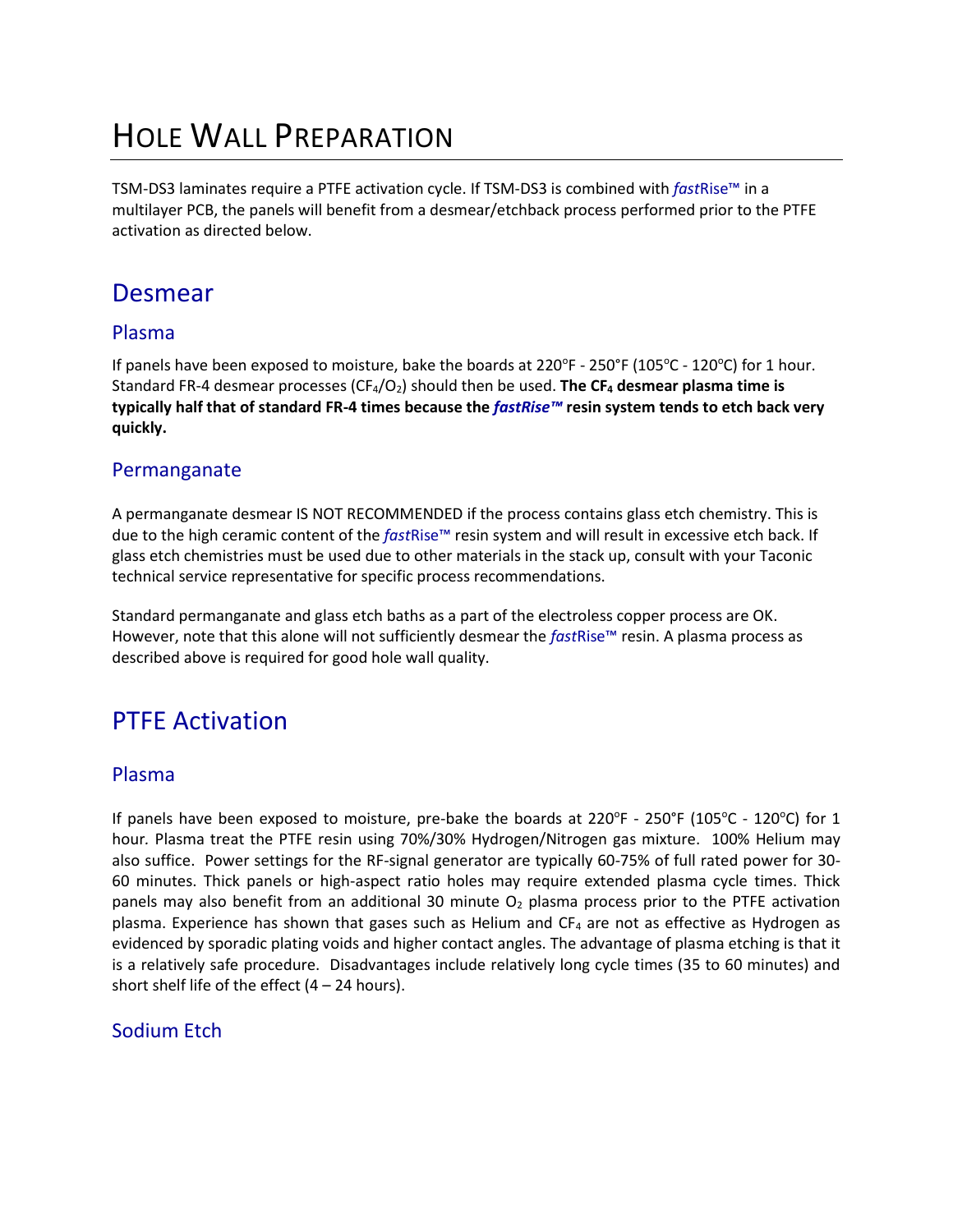# HOLE WALL PREPARATION

TSM-DS3 laminates require a PTFE activation cycle. If TSM-DS3 is combined with *fast*Rise™ in a multilayer PCB, the panels will benefit from a desmear/etchback process performed prior to the PTFE activation as directed below.

### Desmear

#### Plasma

If panels have been exposed to moisture, bake the boards at  $220^{\circ}$ F -  $250^{\circ}$ F (105 $^{\circ}$ C - 120 $^{\circ}$ C) for 1 hour. Standard FR-4 desmear processes (CF4/O2) should then be used. **The CF<sup>4</sup> desmear plasma time is typically half that of standard FR-4 times because the** *fastRise™* **resin system tends to etch back very quickly.**

#### Permanganate

A permanganate desmear IS NOT RECOMMENDED if the process contains glass etch chemistry. This is due to the high ceramic content of the *fast*Rise™ resin system and will result in excessive etch back. If glass etch chemistries must be used due to other materials in the stack up, consult with your Taconic technical service representative for specific process recommendations.

Standard permanganate and glass etch baths as a part of the electroless copper process are OK. However, note that this alone will not sufficiently desmear the *fast*Rise™ resin. A plasma process as described above is required for good hole wall quality.

### PTFE Activation

#### Plasma

If panels have been exposed to moisture, pre-bake the boards at 220°F - 250°F (105°C - 120°C) for 1 hour*.* Plasma treat the PTFE resin using 70%/30% Hydrogen/Nitrogen gas mixture. 100% Helium may also suffice. Power settings for the RF-signal generator are typically 60-75% of full rated power for 30- 60 minutes. Thick panels or high-aspect ratio holes may require extended plasma cycle times. Thick panels may also benefit from an additional 30 minute  $O<sub>2</sub>$  plasma process prior to the PTFE activation plasma. Experience has shown that gases such as Helium and  $CF_4$  are not as effective as Hydrogen as evidenced by sporadic plating voids and higher contact angles. The advantage of plasma etching is that it is a relatively safe procedure. Disadvantages include relatively long cycle times (35 to 60 minutes) and short shelf life of the effect  $(4 - 24$  hours).

### Sodium Etch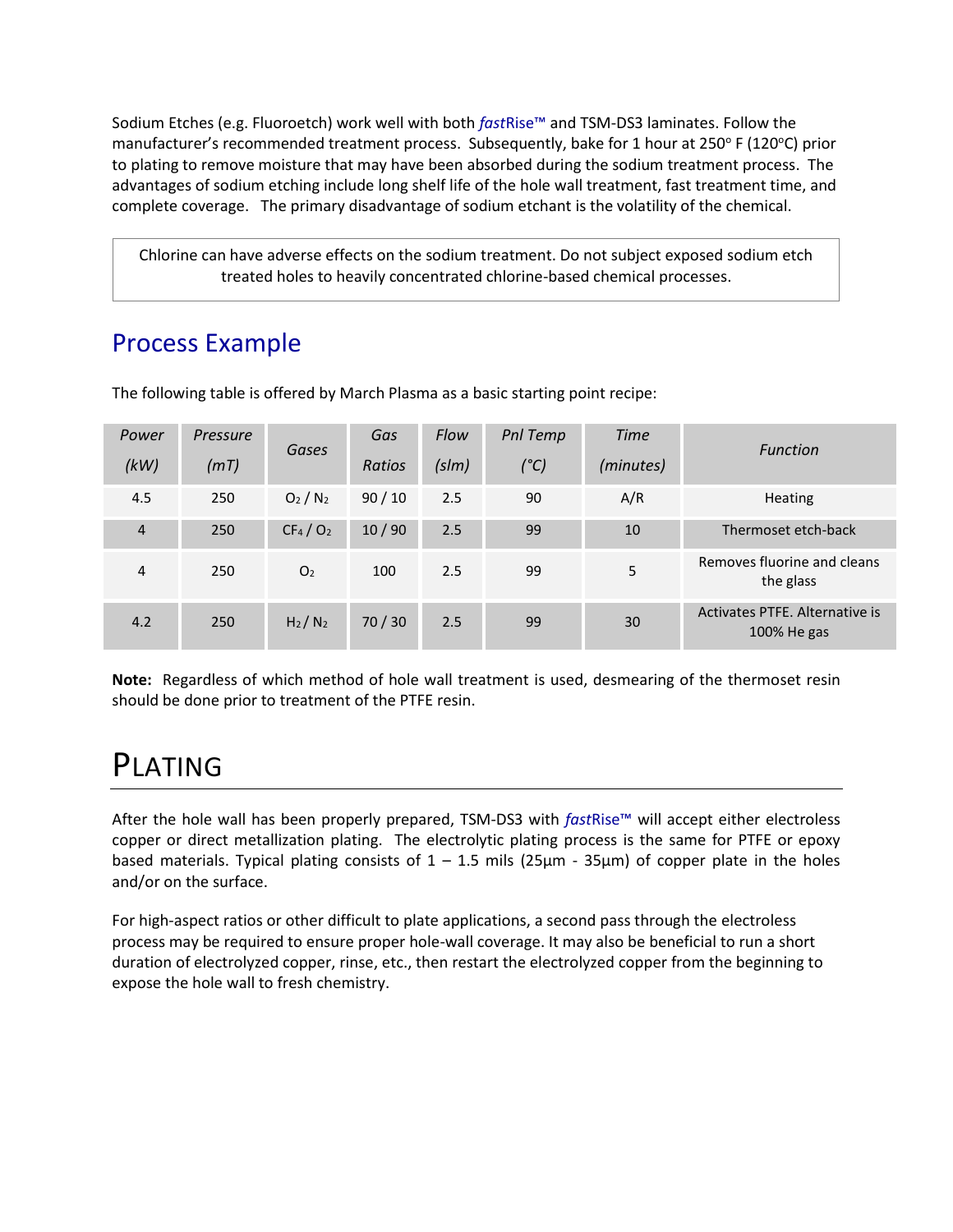Sodium Etches (e.g. Fluoroetch) work well with both *fast*Rise™ and TSM-DS3 laminates. Follow the manufacturer's recommended treatment process. Subsequently, bake for 1 hour at 250° F (120°C) prior to plating to remove moisture that may have been absorbed during the sodium treatment process. The advantages of sodium etching include long shelf life of the hole wall treatment, fast treatment time, and complete coverage. The primary disadvantage of sodium etchant is the volatility of the chemical.

Chlorine can have adverse effects on the sodium treatment. Do not subject exposed sodium etch treated holes to heavily concentrated chlorine-based chemical processes.

### Process Example

| Power          | Pressure | Gases                           | Gas   | Flow   | Pnl Temp | <b>Time</b>   | <b>Function</b>                               |
|----------------|----------|---------------------------------|-------|--------|----------|---------------|-----------------------------------------------|
| (kW)           | (mT)     |                                 |       | Ratios | (s/m)    | $(^{\circ}C)$ | (minutes)                                     |
| 4.5            | 250      | O <sub>2</sub> /N <sub>2</sub>  | 90/10 | 2.5    | 90       | A/R           | <b>Heating</b>                                |
| $\overline{4}$ | 250      | CF <sub>4</sub> /O <sub>2</sub> | 10/90 | 2.5    | 99       | 10            | Thermoset etch-back                           |
| 4              | 250      | O <sub>2</sub>                  | 100   | 2.5    | 99       | 5             | Removes fluorine and cleans<br>the glass      |
| 4.2            | 250      | $H_2/N_2$                       | 70/30 | 2.5    | 99       | 30            | Activates PTFE, Alternative is<br>100% He gas |

The following table is offered by March Plasma as a basic starting point recipe:

**Note:** Regardless of which method of hole wall treatment is used, desmearing of the thermoset resin should be done prior to treatment of the PTFE resin.

# PLATING

After the hole wall has been properly prepared, TSM-DS3 with *fast*Rise™ will accept either electroless copper or direct metallization plating. The electrolytic plating process is the same for PTFE or epoxy based materials. Typical plating consists of  $1 - 1.5$  mils (25 $\mu$ m - 35 $\mu$ m) of copper plate in the holes and/or on the surface.

For high-aspect ratios or other difficult to plate applications, a second pass through the electroless process may be required to ensure proper hole-wall coverage. It may also be beneficial to run a short duration of electrolyzed copper, rinse, etc., then restart the electrolyzed copper from the beginning to expose the hole wall to fresh chemistry.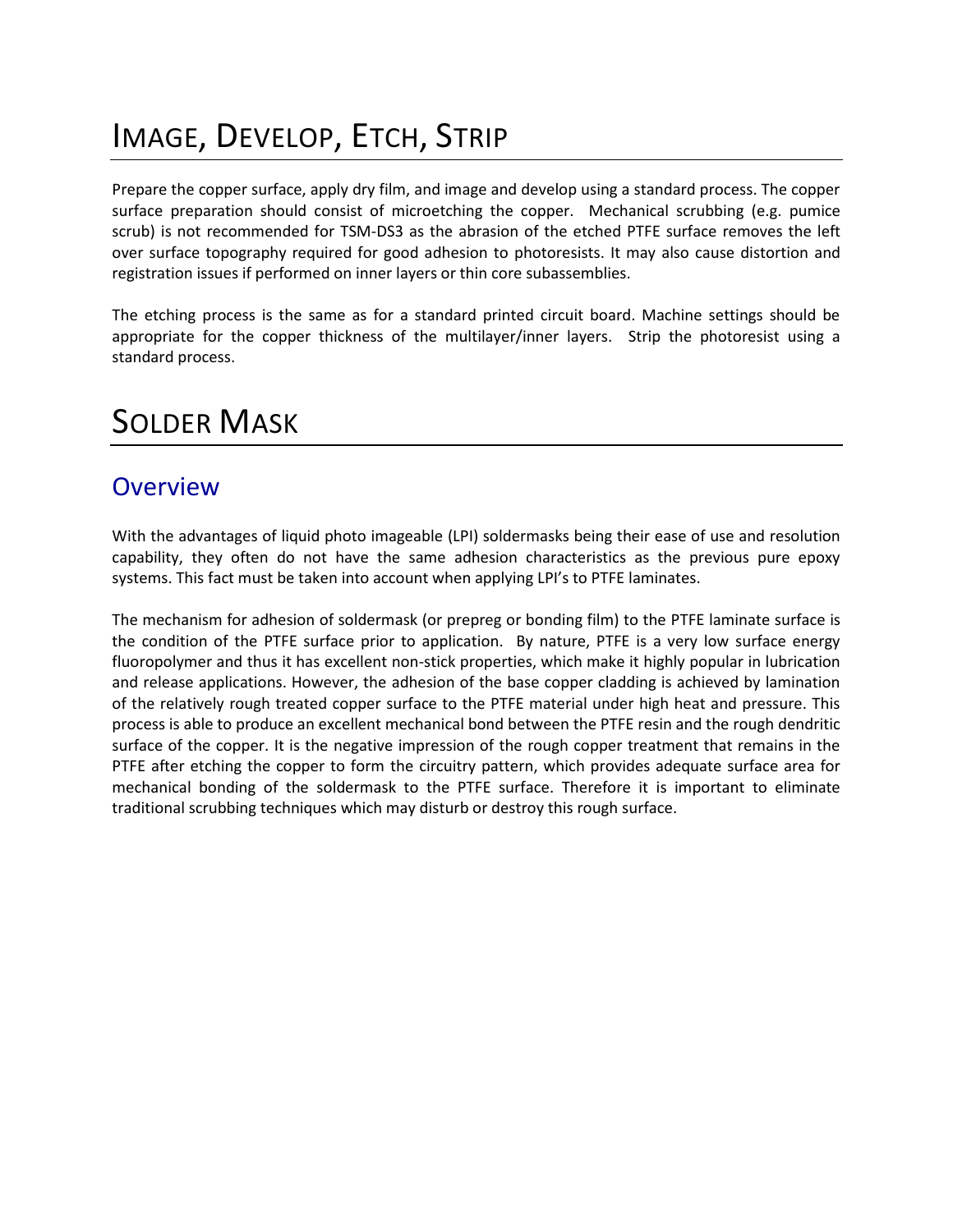# IMAGE, DEVELOP, ETCH, STRIP

Prepare the copper surface, apply dry film, and image and develop using a standard process. The copper surface preparation should consist of microetching the copper. Mechanical scrubbing (e.g. pumice scrub) is not recommended for TSM-DS3 as the abrasion of the etched PTFE surface removes the left over surface topography required for good adhesion to photoresists. It may also cause distortion and registration issues if performed on inner layers or thin core subassemblies.

The etching process is the same as for a standard printed circuit board. Machine settings should be appropriate for the copper thickness of the multilayer/inner layers. Strip the photoresist using a standard process.

# SOLDER MASK

### **Overview**

With the advantages of liquid photo imageable (LPI) soldermasks being their ease of use and resolution capability, they often do not have the same adhesion characteristics as the previous pure epoxy systems. This fact must be taken into account when applying LPI's to PTFE laminates.

The mechanism for adhesion of soldermask (or prepreg or bonding film) to the PTFE laminate surface is the condition of the PTFE surface prior to application. By nature, PTFE is a very low surface energy fluoropolymer and thus it has excellent non-stick properties, which make it highly popular in lubrication and release applications. However, the adhesion of the base copper cladding is achieved by lamination of the relatively rough treated copper surface to the PTFE material under high heat and pressure. This process is able to produce an excellent mechanical bond between the PTFE resin and the rough dendritic surface of the copper. It is the negative impression of the rough copper treatment that remains in the PTFE after etching the copper to form the circuitry pattern, which provides adequate surface area for mechanical bonding of the soldermask to the PTFE surface. Therefore it is important to eliminate traditional scrubbing techniques which may disturb or destroy this rough surface.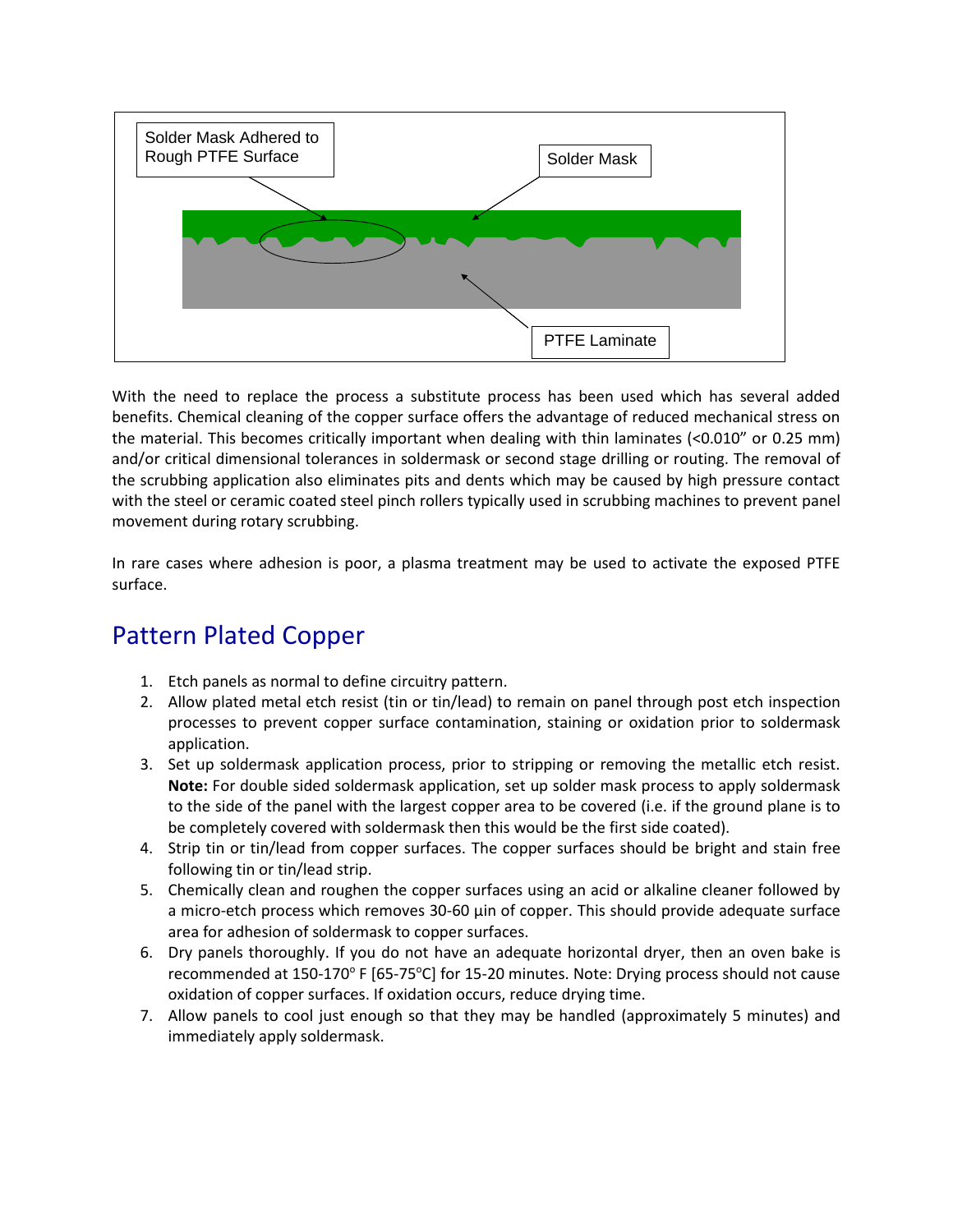

With the need to replace the process a substitute process has been used which has several added benefits. Chemical cleaning of the copper surface offers the advantage of reduced mechanical stress on the material. This becomes critically important when dealing with thin laminates (<0.010" or 0.25 mm) and/or critical dimensional tolerances in soldermask or second stage drilling or routing. The removal of the scrubbing application also eliminates pits and dents which may be caused by high pressure contact with the steel or ceramic coated steel pinch rollers typically used in scrubbing machines to prevent panel movement during rotary scrubbing.

In rare cases where adhesion is poor, a plasma treatment may be used to activate the exposed PTFE surface.

### Pattern Plated Copper

- 1. Etch panels as normal to define circuitry pattern.
- 2. Allow plated metal etch resist (tin or tin/lead) to remain on panel through post etch inspection processes to prevent copper surface contamination, staining or oxidation prior to soldermask application.
- 3. Set up soldermask application process, prior to stripping or removing the metallic etch resist. **Note:** For double sided soldermask application, set up solder mask process to apply soldermask to the side of the panel with the largest copper area to be covered (i.e. if the ground plane is to be completely covered with soldermask then this would be the first side coated).
- 4. Strip tin or tin/lead from copper surfaces. The copper surfaces should be bright and stain free following tin or tin/lead strip.
- 5. Chemically clean and roughen the copper surfaces using an acid or alkaline cleaner followed by a micro-etch process which removes 30-60 µin of copper. This should provide adequate surface area for adhesion of soldermask to copper surfaces.
- 6. Dry panels thoroughly. If you do not have an adequate horizontal dryer, then an oven bake is recommended at 150-170° F [65-75°C] for 15-20 minutes. Note: Drying process should not cause oxidation of copper surfaces. If oxidation occurs, reduce drying time.
- 7. Allow panels to cool just enough so that they may be handled (approximately 5 minutes) and immediately apply soldermask.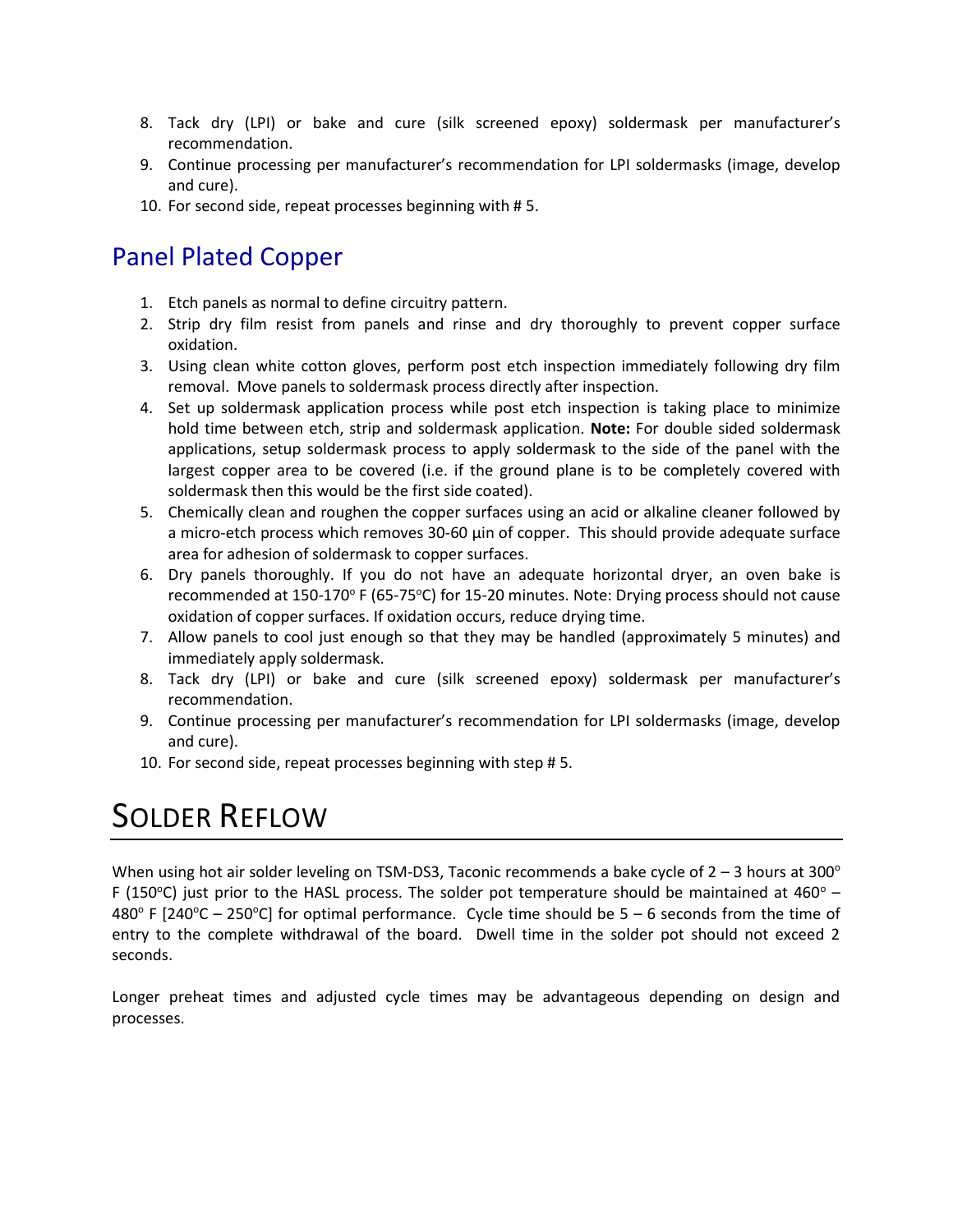- 8. Tack dry (LPI) or bake and cure (silk screened epoxy) soldermask per manufacturer's recommendation.
- 9. Continue processing per manufacturer's recommendation for LPI soldermasks (image, develop and cure).
- 10. For second side, repeat processes beginning with # 5.

# Panel Plated Copper

- 1. Etch panels as normal to define circuitry pattern.
- 2. Strip dry film resist from panels and rinse and dry thoroughly to prevent copper surface oxidation.
- 3. Using clean white cotton gloves, perform post etch inspection immediately following dry film removal. Move panels to soldermask process directly after inspection.
- 4. Set up soldermask application process while post etch inspection is taking place to minimize hold time between etch, strip and soldermask application. **Note:** For double sided soldermask applications, setup soldermask process to apply soldermask to the side of the panel with the largest copper area to be covered (i.e. if the ground plane is to be completely covered with soldermask then this would be the first side coated).
- 5. Chemically clean and roughen the copper surfaces using an acid or alkaline cleaner followed by a micro-etch process which removes 30-60 µin of copper. This should provide adequate surface area for adhesion of soldermask to copper surfaces.
- 6. Dry panels thoroughly. If you do not have an adequate horizontal dryer, an oven bake is recommended at 150-170° F (65-75°C) for 15-20 minutes. Note: Drying process should not cause oxidation of copper surfaces. If oxidation occurs, reduce drying time.
- 7. Allow panels to cool just enough so that they may be handled (approximately 5 minutes) and immediately apply soldermask.
- 8. Tack dry (LPI) or bake and cure (silk screened epoxy) soldermask per manufacturer's recommendation.
- 9. Continue processing per manufacturer's recommendation for LPI soldermasks (image, develop and cure).
- 10. For second side, repeat processes beginning with step # 5.

# SOLDER REFLOW

When using hot air solder leveling on TSM-DS3, Taconic recommends a bake cycle of  $2 - 3$  hours at 300 $^{\circ}$ F (150 $\degree$ C) just prior to the HASL process. The solder pot temperature should be maintained at 460 $\degree$  – 480 $^{\circ}$  F [240 $^{\circ}$ C – 250 $^{\circ}$ C] for optimal performance. Cycle time should be 5 – 6 seconds from the time of entry to the complete withdrawal of the board. Dwell time in the solder pot should not exceed 2 seconds.

Longer preheat times and adjusted cycle times may be advantageous depending on design and processes.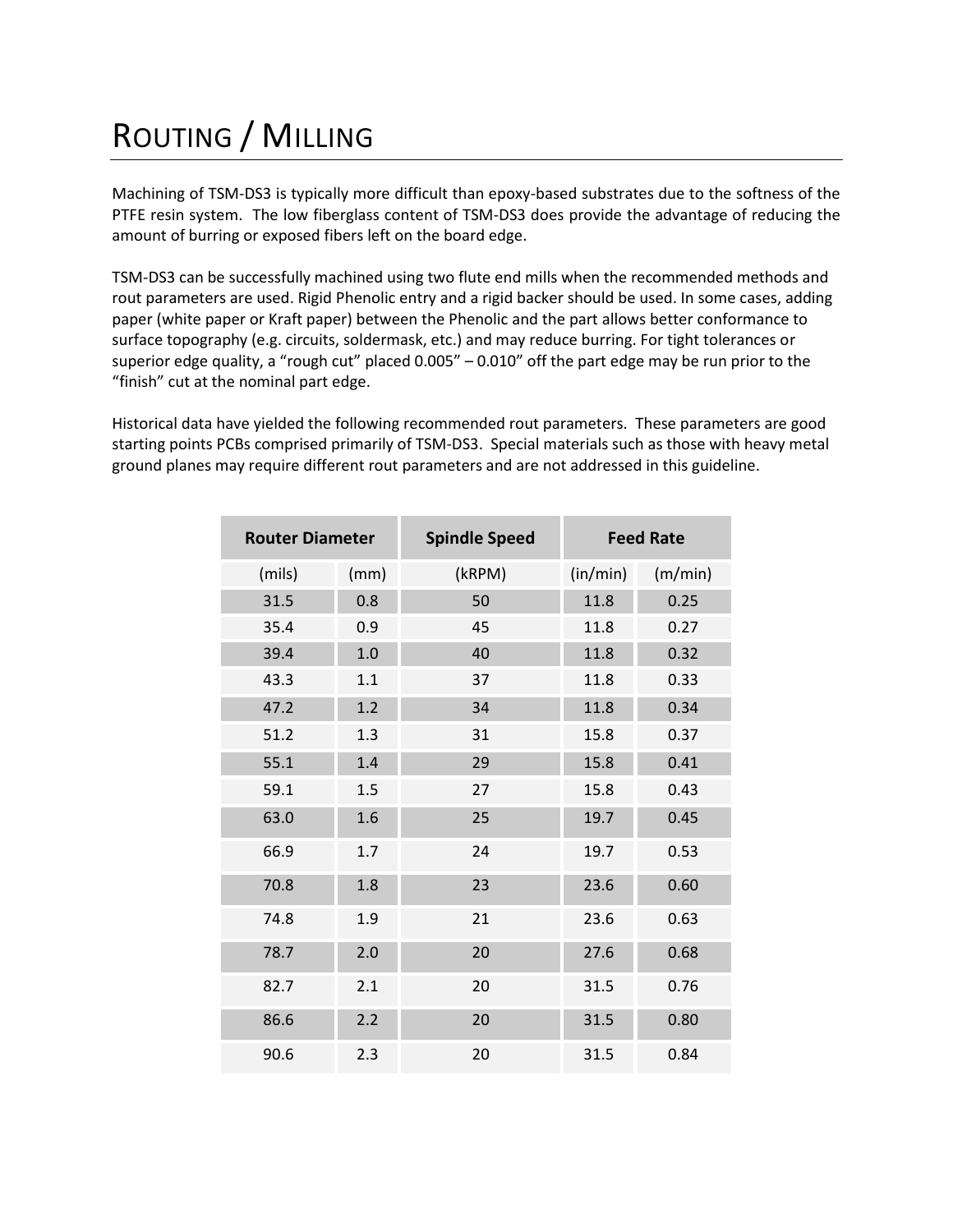# ROUTING / MILLING

Machining of TSM-DS3 is typically more difficult than epoxy-based substrates due to the softness of the PTFE resin system. The low fiberglass content of TSM-DS3 does provide the advantage of reducing the amount of burring or exposed fibers left on the board edge.

TSM-DS3 can be successfully machined using two flute end mills when the recommended methods and rout parameters are used. Rigid Phenolic entry and a rigid backer should be used. In some cases, adding paper (white paper or Kraft paper) between the Phenolic and the part allows better conformance to surface topography (e.g. circuits, soldermask, etc.) and may reduce burring. For tight tolerances or superior edge quality, a "rough cut" placed 0.005" – 0.010" off the part edge may be run prior to the "finish" cut at the nominal part edge.

Historical data have yielded the following recommended rout parameters. These parameters are good starting points PCBs comprised primarily of TSM-DS3. Special materials such as those with heavy metal ground planes may require different rout parameters and are not addressed in this guideline.

| <b>Router Diameter</b> |         | <b>Spindle Speed</b> | <b>Feed Rate</b> |         |  |
|------------------------|---------|----------------------|------------------|---------|--|
| (mils)                 | (mm)    | (kRPM)               | (in/min)         | (m/min) |  |
| 31.5                   | 0.8     | 50                   | 11.8             | 0.25    |  |
| 35.4                   | 0.9     | 45                   | 11.8             | 0.27    |  |
| 39.4                   | $1.0\,$ | 40                   | 11.8             | 0.32    |  |
| 43.3                   | 1.1     | 37                   | 11.8             | 0.33    |  |
| 47.2                   | 1.2     | 34                   | 11.8             | 0.34    |  |
| 51.2                   | 1.3     | 31                   | 15.8             | 0.37    |  |
| 55.1                   | 1.4     | 29                   | 15.8             | 0.41    |  |
| 59.1                   | 1.5     | 27                   | 15.8             | 0.43    |  |
| 63.0                   | 1.6     | 25                   | 19.7             | 0.45    |  |
| 66.9                   | 1.7     | 24                   | 19.7             | 0.53    |  |
| 70.8                   | 1.8     | 23                   | 23.6             | 0.60    |  |
| 74.8                   | 1.9     | 21                   | 23.6             | 0.63    |  |
| 78.7                   | 2.0     | 20                   | 27.6             | 0.68    |  |
| 82.7                   | 2.1     | 20                   | 31.5             | 0.76    |  |
| 86.6                   | 2.2     | 20                   | 31.5             | 0.80    |  |
| 90.6                   | 2.3     | 20                   | 31.5             | 0.84    |  |